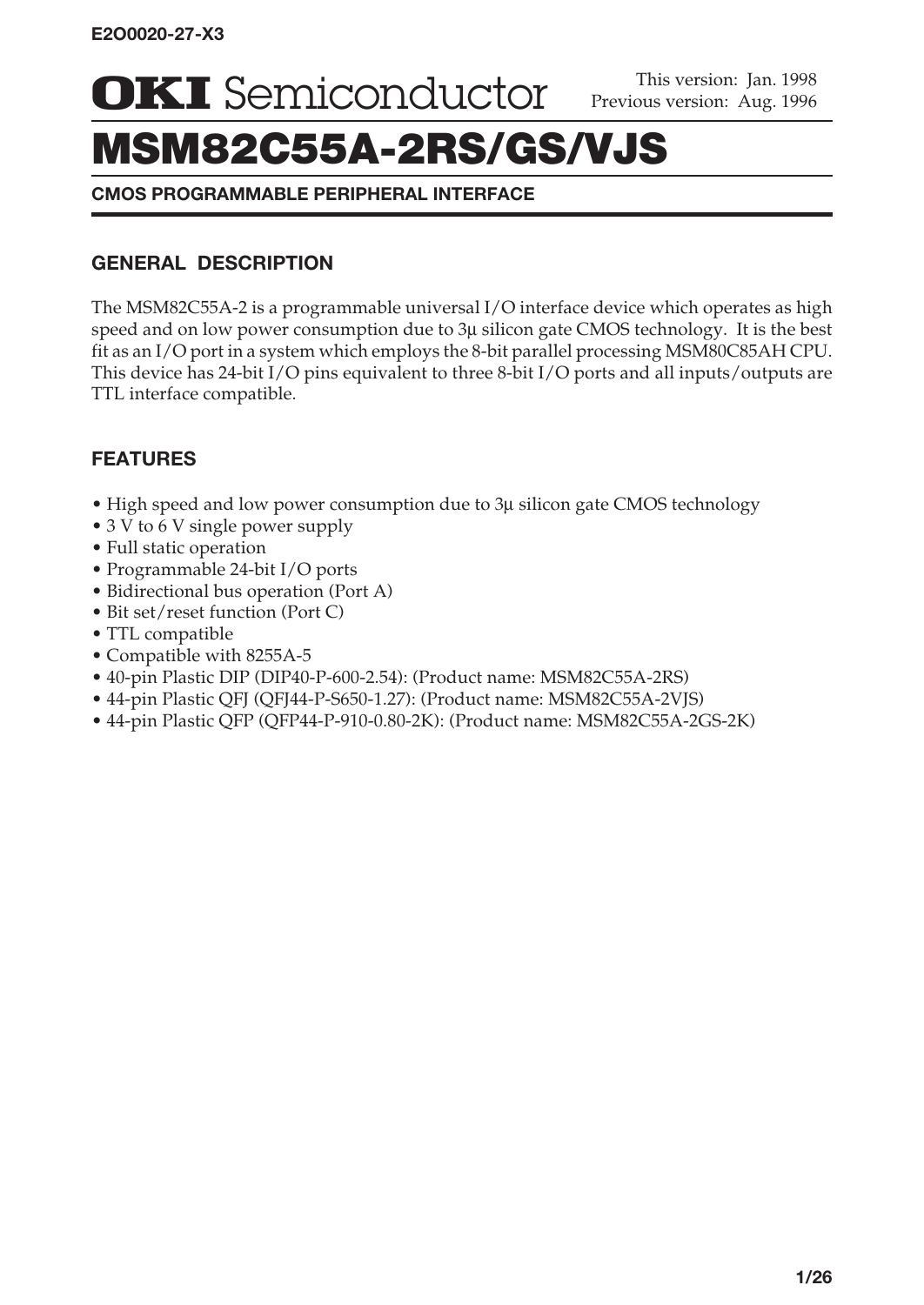**OKI** Semiconductor **Previous version:** Aug. 1996

# MSM82C55A-2RS/GS/VJS

**CMOS PROGRAMMABLE PERIPHERAL INTERFACE**

# **GENERAL DESCRIPTION**

The MSM82C55A-2 is a programmable universal I/O interface device which operates as high speed and on low power consumption due to  $3\mu$  silicon gate CMOS technology. It is the best fit as an I/O port in a system which employs the 8-bit parallel processing MSM80C85AH CPU. This device has 24-bit I/O pins equivalent to three 8-bit I/O ports and all inputs/outputs are TTL interface compatible.

# **FEATURES**

- High speed and low power consumption due to 3µ silicon gate CMOS technology
- 3 V to 6 V single power supply
- Full static operation
- Programmable 24-bit I/O ports
- Bidirectional bus operation (Port A)
- Bit set/reset function (Port C)
- TTL compatible
- Compatible with 8255A-5
- 40-pin Plastic DIP (DIP40-P-600-2.54): (Product name: MSM82C55A-2RS)
- 44-pin Plastic QFJ (QFJ44-P-S650-1.27): (Product name: MSM82C55A-2VJS)
- 44-pin Plastic QFP (QFP44-P-910-0.80-2K): (Product name: MSM82C55A-2GS-2K)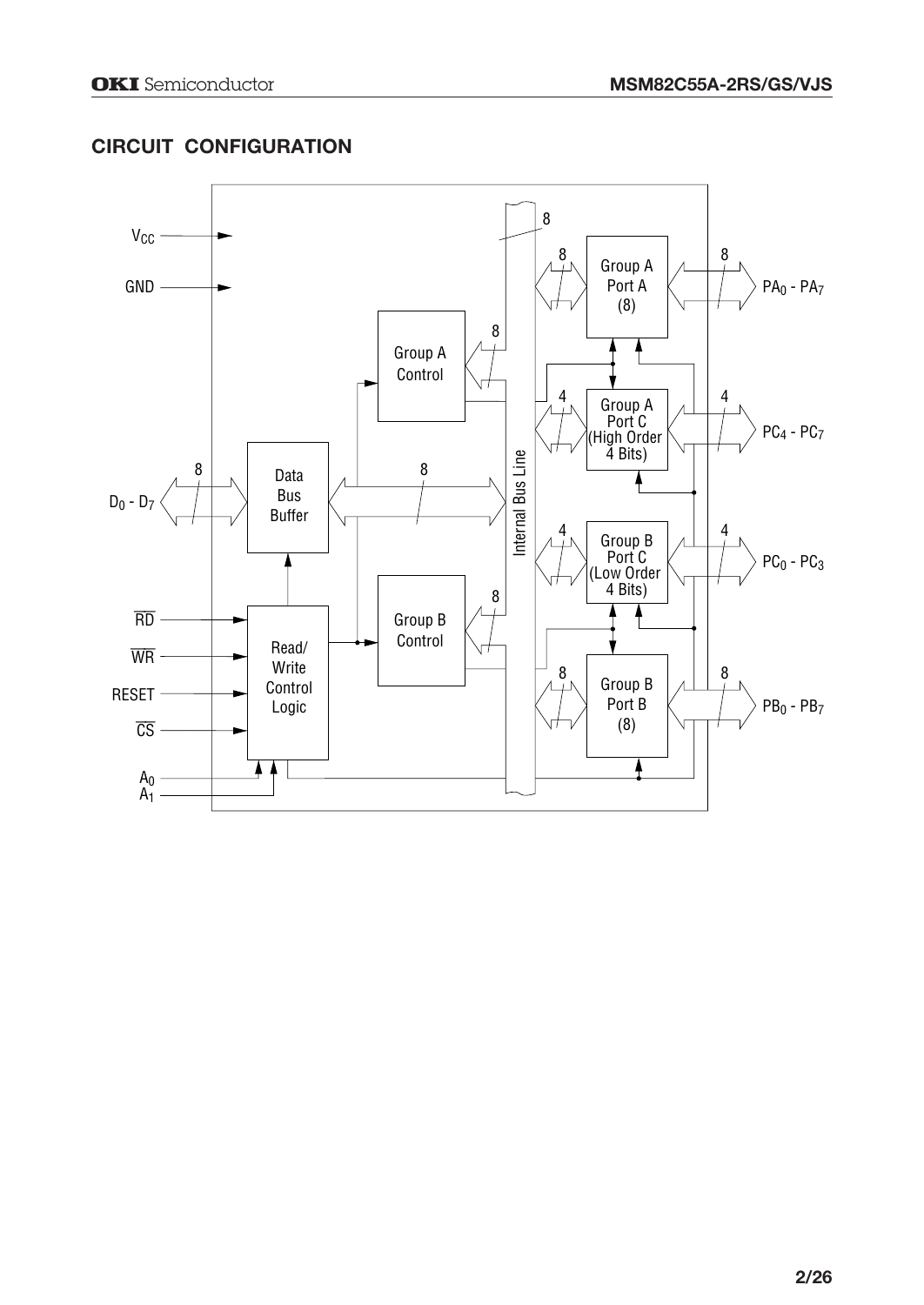# **CIRCUIT CONFIGURATION**

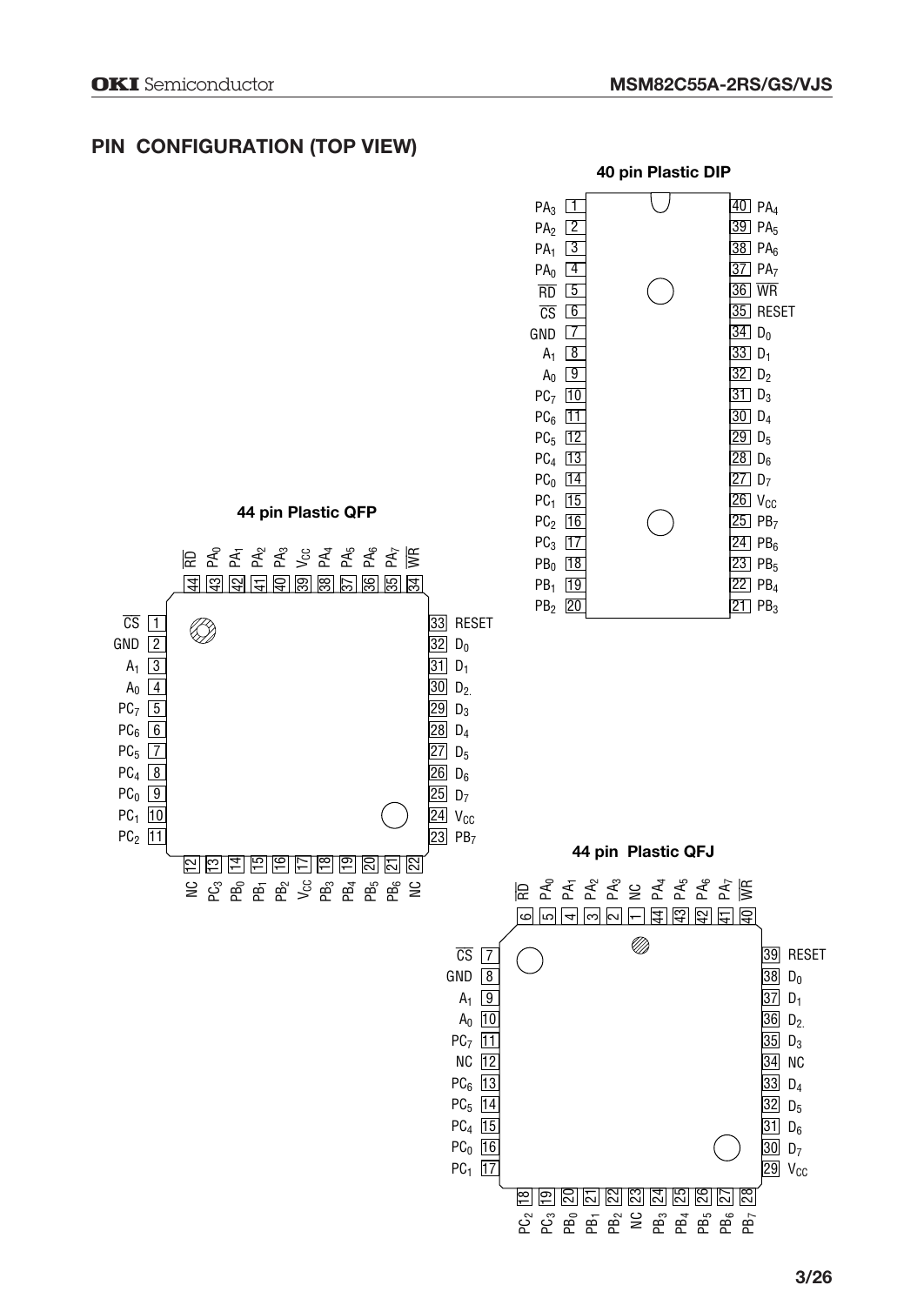# **PIN CONFIGURATION (TOP VIEW)**

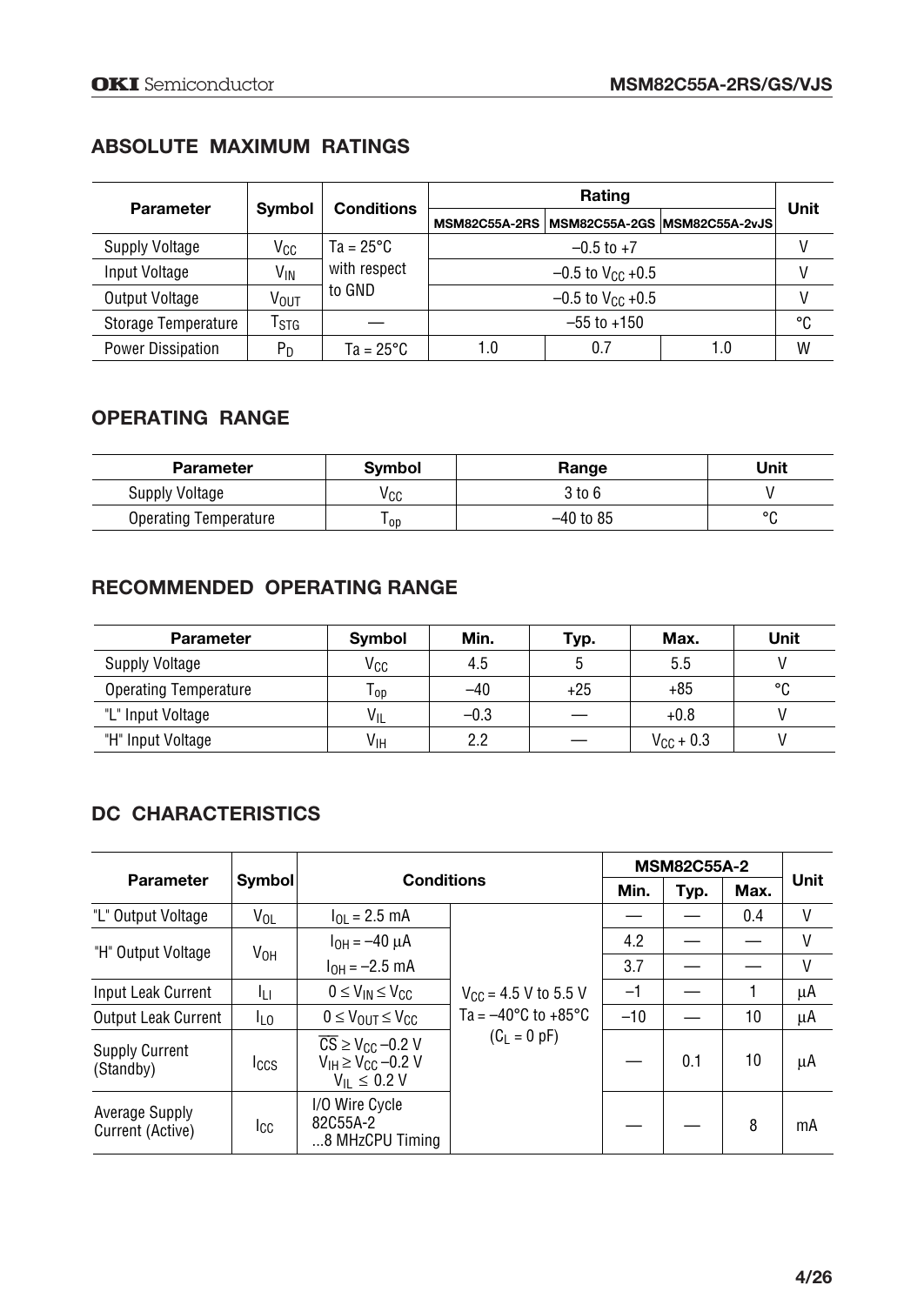# **ABSOLUTE MAXIMUM RATINGS**

| <b>Parameter</b>         |               | <b>Conditions</b>  |                 |                                | Unit                                           |   |  |
|--------------------------|---------------|--------------------|-----------------|--------------------------------|------------------------------------------------|---|--|
|                          | <b>Symbol</b> |                    |                 |                                | MSM82C55A-2RS   MSM82C55A-2GS   MSM82C55A-2vJS |   |  |
| Supply Voltage           | Vcc           | $Ta = 25^{\circ}C$ |                 |                                | V                                              |   |  |
| Input Voltage            | Vın           | with respect       |                 | $-0.5$ to V <sub>CC</sub> +0.5 |                                                |   |  |
| Output Voltage           | Vout          | to GND             |                 | V                              |                                                |   |  |
| Storage Temperature      | Гsтg          |                    | $-55$ to $+150$ |                                |                                                |   |  |
| <b>Power Dissipation</b> | $P_D$         | $Ta = 25^{\circ}C$ | 1.0             | 0.7                            | 1.0                                            | W |  |

# **OPERATING RANGE**

| <b>Parameter</b>             | <b>Symbol</b> | Range       | Unit    |
|------------------------------|---------------|-------------|---------|
| Supply Voltage               | vcc           | 3 to 6      |         |
| <b>Operating Temperature</b> | l op          | $-40$ to 85 | $\circ$ |

# **RECOMMENDED OPERATING RANGE**

| <b>Parameter</b>             | Symbol          | Min.   | Typ.  | Max.               | Unit |
|------------------------------|-----------------|--------|-------|--------------------|------|
| Supply Voltage               | Vcc             | 4.5    |       | 5.5                |      |
| <b>Operating Temperature</b> | l op            | $-40$  | $+25$ | $+85$              | °C   |
| "L" Input Voltage            | $V_{IL}$        | $-0.3$ |       | $+0.8$             |      |
| "H" Input Voltage            | V <sub>IH</sub> | 2.2    |       | $V_{\rm CC}$ + 0.3 |      |

# **DC CHARACTERISTICS**

| <b>Parameter</b>                   | <b>Symbol</b>   | <b>Conditions</b>                                                                                                     |                                         | <b>MSM82C55A-2</b><br>Unit<br>Min.<br>Max.<br>Typ.<br>٧<br>0.4<br>٧<br>4.2<br>٧<br>3.7<br>$-1$<br>μA<br>$-10$<br>10<br>μA<br>10<br>0.1<br>μA |   |    |
|------------------------------------|-----------------|-----------------------------------------------------------------------------------------------------------------------|-----------------------------------------|----------------------------------------------------------------------------------------------------------------------------------------------|---|----|
| "L" Output Voltage                 | $V_{OL}$        | $I_{OL}$ = 2.5 mA                                                                                                     |                                         |                                                                                                                                              |   |    |
| "H" Output Voltage                 | V <sub>OH</sub> | $I_{OH} = -40 \mu A$                                                                                                  |                                         |                                                                                                                                              |   |    |
|                                    |                 | $I_{OH} = -2.5$ mA                                                                                                    |                                         |                                                                                                                                              |   |    |
| Input Leak Current                 | Iπ              | $0 \leq V_{IN} \leq V_{CL}$                                                                                           | $V_{CC}$ = 4.5 V to 5.5 V               |                                                                                                                                              |   |    |
| <b>Output Leak Current</b>         | I <sub>LO</sub> | $0 \leq V_{\text{OUT}} \leq V_{\text{CCD}}$                                                                           | Ta = $-40^{\circ}$ C to $+85^{\circ}$ C |                                                                                                                                              |   |    |
| <b>Supply Current</b><br>(Standby) | <b>I</b> CCS    | $\overline{\text{CS}} \geq \text{V}_{\text{CC}} -0.2 \text{ V}$<br>$V_{IH} \geq V_{CG} -0.2 V$<br>$V_{II} \leq 0.2 V$ | $(C_L = 0 pF)$                          |                                                                                                                                              |   |    |
| Average Supply<br>Current (Active) | Icc             | I/O Wire Cycle<br>82C55A-2<br>8 MHzCPU Timing                                                                         |                                         |                                                                                                                                              | 8 | mA |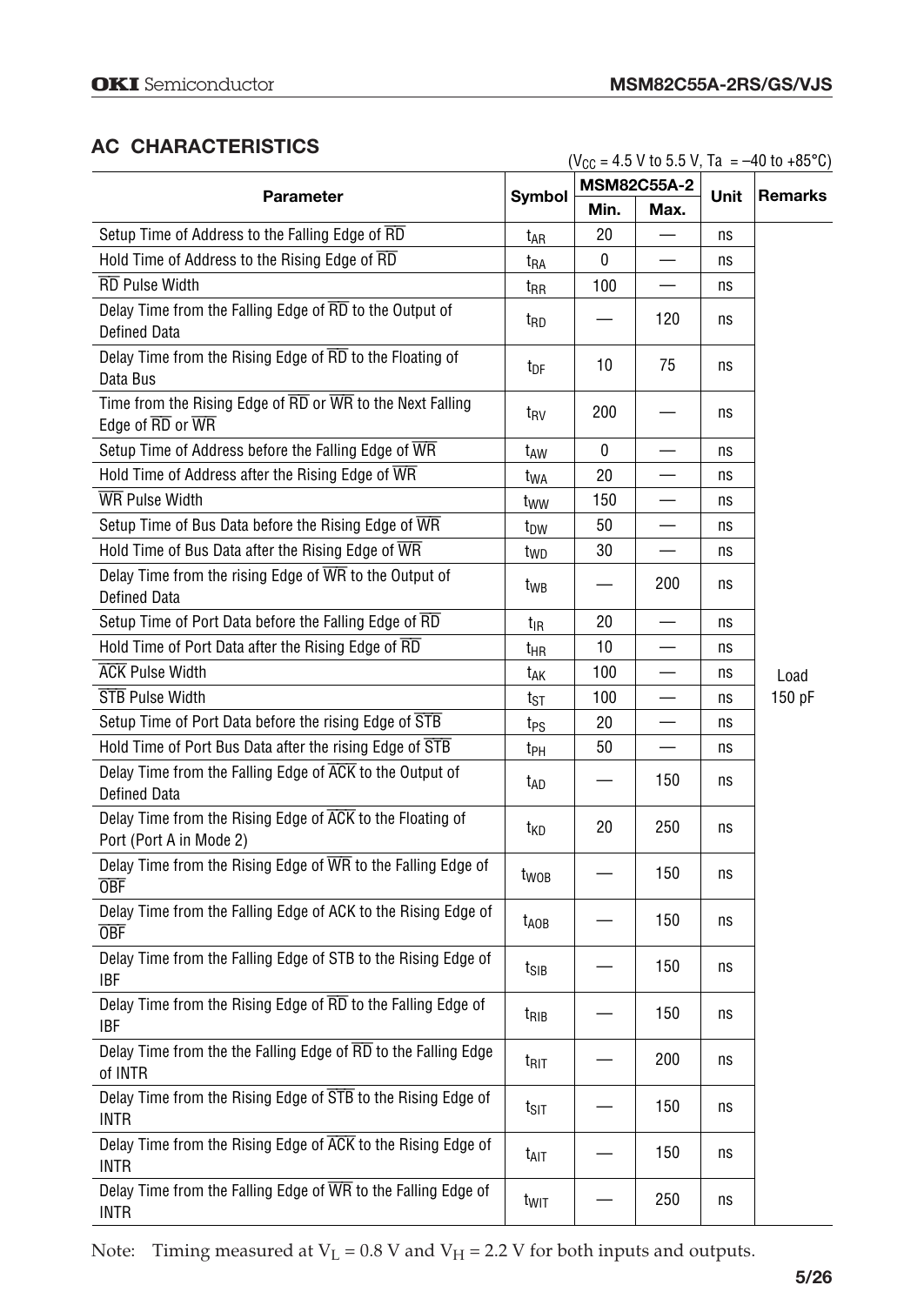# **AC CHARACTERISTICS**

 $(V_{CC} = 4.5 V to 5.5 V, Ta = -40 to +85°C)$ 

| <b>Parameter</b>                                                                                        |                  |      | <b>MSM82C55A-2</b> |      | <b>Remarks</b> |  |
|---------------------------------------------------------------------------------------------------------|------------------|------|--------------------|------|----------------|--|
|                                                                                                         | Symbol           | Min. | Max.               | Unit |                |  |
| Setup Time of Address to the Falling Edge of RD                                                         | t <sub>AR</sub>  | 20   |                    | ns   |                |  |
| Hold Time of Address to the Rising Edge of RD                                                           | t <sub>RA</sub>  | 0    |                    | ns   |                |  |
| <b>RD</b> Pulse Width                                                                                   | $t_{\rm RR}$     | 100  |                    | ns   |                |  |
| Delay Time from the Falling Edge of RD to the Output of<br><b>Defined Data</b>                          | t <sub>RD</sub>  |      | 120                | ns   |                |  |
| Delay Time from the Rising Edge of RD to the Floating of<br>Data Bus                                    | t <sub>DF</sub>  | 10   | 75                 | ns   |                |  |
| Time from the Rising Edge of $\overline{RD}$ or $\overline{WR}$ to the Next Falling<br>Edge of RD or WR | t <sub>RV</sub>  | 200  |                    | ns   |                |  |
| Setup Time of Address before the Falling Edge of WR                                                     | t <sub>AW</sub>  | 0    |                    | ns   |                |  |
| Hold Time of Address after the Rising Edge of $\overline{\text{WR}}$                                    | t <sub>WA</sub>  | 20   |                    | ns   |                |  |
| <b>WR</b> Pulse Width                                                                                   | tww              | 150  |                    | ns   |                |  |
| Setup Time of Bus Data before the Rising Edge of WR                                                     | t <sub>DW</sub>  | 50   |                    | ns   |                |  |
| Hold Time of Bus Data after the Rising Edge of WR                                                       | t <sub>WD</sub>  | 30   |                    | ns   |                |  |
| Delay Time from the rising Edge of WR to the Output of<br>Defined Data                                  | t <sub>WB</sub>  |      | 200                | ns   |                |  |
| Setup Time of Port Data before the Falling Edge of RD                                                   | t <sub>IR</sub>  | 20   |                    | ns   |                |  |
| Hold Time of Port Data after the Rising Edge of RD                                                      | t <sub>HR</sub>  | 10   |                    | ns   |                |  |
| <b>ACK Pulse Width</b>                                                                                  | t <sub>AK</sub>  | 100  |                    | ns   | Load           |  |
| <b>STB</b> Pulse Width                                                                                  | tst              | 100  |                    | ns   | 150 pF         |  |
| Setup Time of Port Data before the rising Edge of STB                                                   | t <sub>PS</sub>  | 20   |                    | ns   |                |  |
| Hold Time of Port Bus Data after the rising Edge of STB                                                 | t <sub>PH</sub>  | 50   |                    | ns   |                |  |
| Delay Time from the Falling Edge of ACK to the Output of<br>Defined Data                                | t <sub>AD</sub>  |      | 150                | ns   |                |  |
| Delay Time from the Rising Edge of ACK to the Floating of<br>Port (Port A in Mode 2)                    | t <sub>KD</sub>  | 20   | 250                | ns   |                |  |
| Delay Time from the Rising Edge of WR to the Falling Edge of<br><b>OBF</b>                              | t <sub>woB</sub> |      | 150                | ns   |                |  |
| Delay Time from the Falling Edge of ACK to the Rising Edge of<br><b>OBF</b>                             | $t_{AOB}$        |      | 150                | ns   |                |  |
| Delay Time from the Falling Edge of STB to the Rising Edge of<br>IRF                                    | $t_{\text{SIB}}$ |      | 150                | ns   |                |  |
| Delay Time from the Rising Edge of RD to the Falling Edge of<br><b>IBF</b>                              | t <sub>RIB</sub> |      | 150                | ns   |                |  |
| Delay Time from the the Falling Edge of RD to the Falling Edge<br>of INTR                               | t <sub>RIT</sub> |      | 200                | ns   |                |  |
| Delay Time from the Rising Edge of STB to the Rising Edge of<br><b>INTR</b>                             | $t_{\text{SIT}}$ |      | 150                | ns   |                |  |
| Delay Time from the Rising Edge of ACK to the Rising Edge of<br><b>INTR</b>                             | t <sub>AIT</sub> |      | 150                | ns   |                |  |
| Delay Time from the Falling Edge of WR to the Falling Edge of<br><b>INTR</b>                            | t <sub>wit</sub> |      | 250                | ns   |                |  |

Note: Timing measured at  $V_L$  = 0.8 V and  $V_H$  = 2.2 V for both inputs and outputs.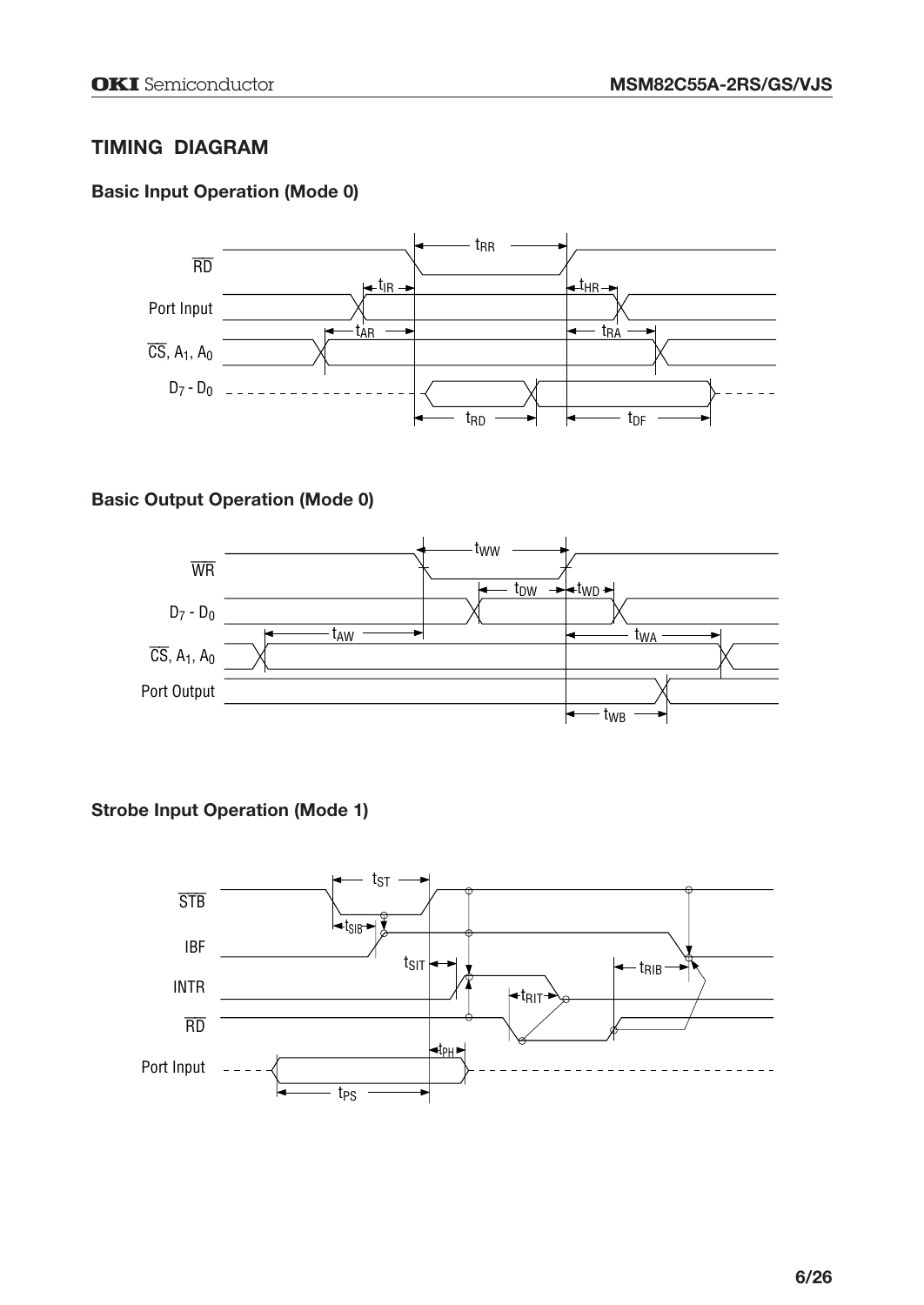# **TIMING DIAGRAM**

# **Basic Input Operation (Mode 0)**



# **Basic Output Operation (Mode 0)**



## **Strobe Input Operation (Mode 1)**

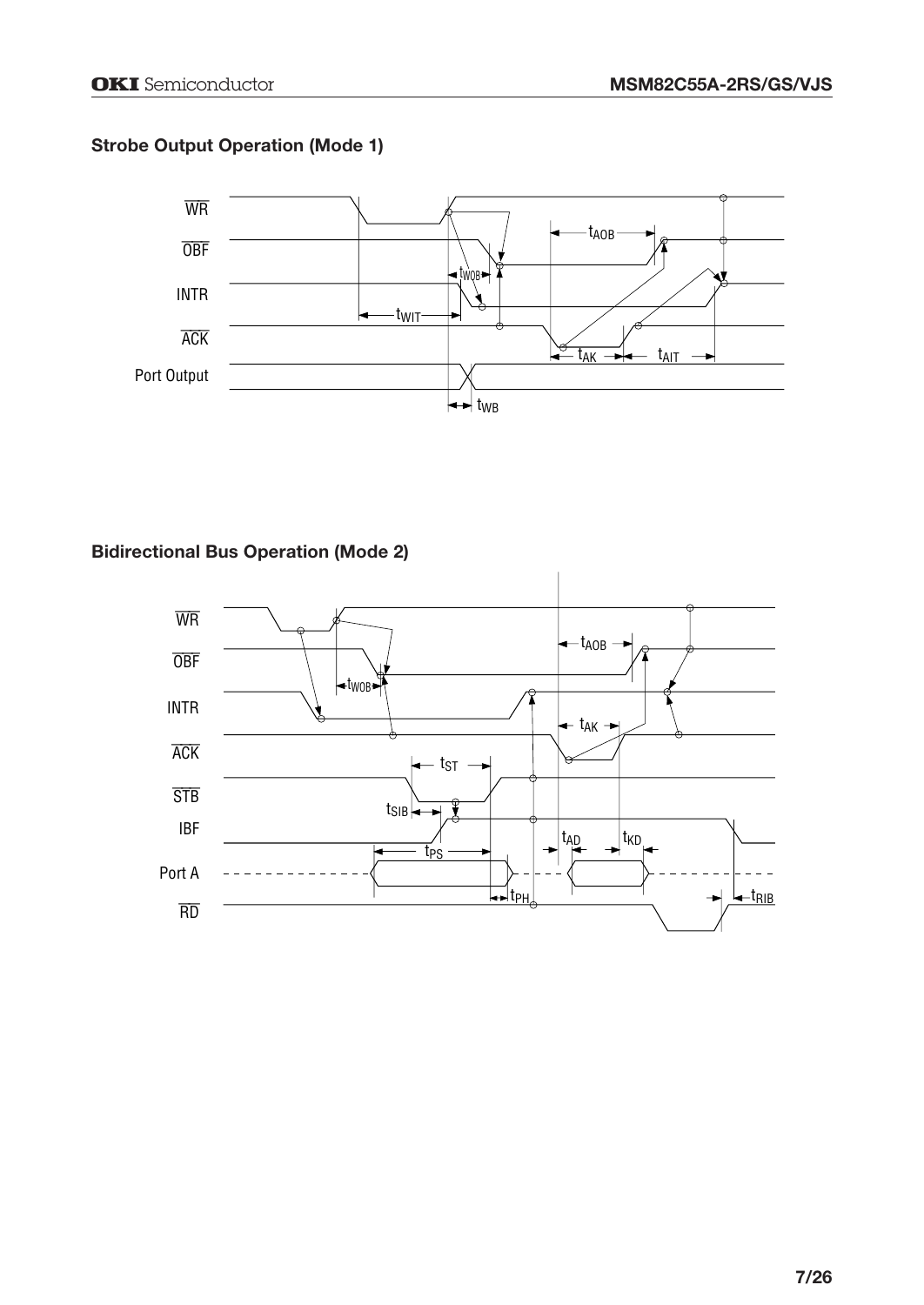# **Strobe Output Operation (Mode 1)**



# **Bidirectional Bus Operation (Mode 2)**

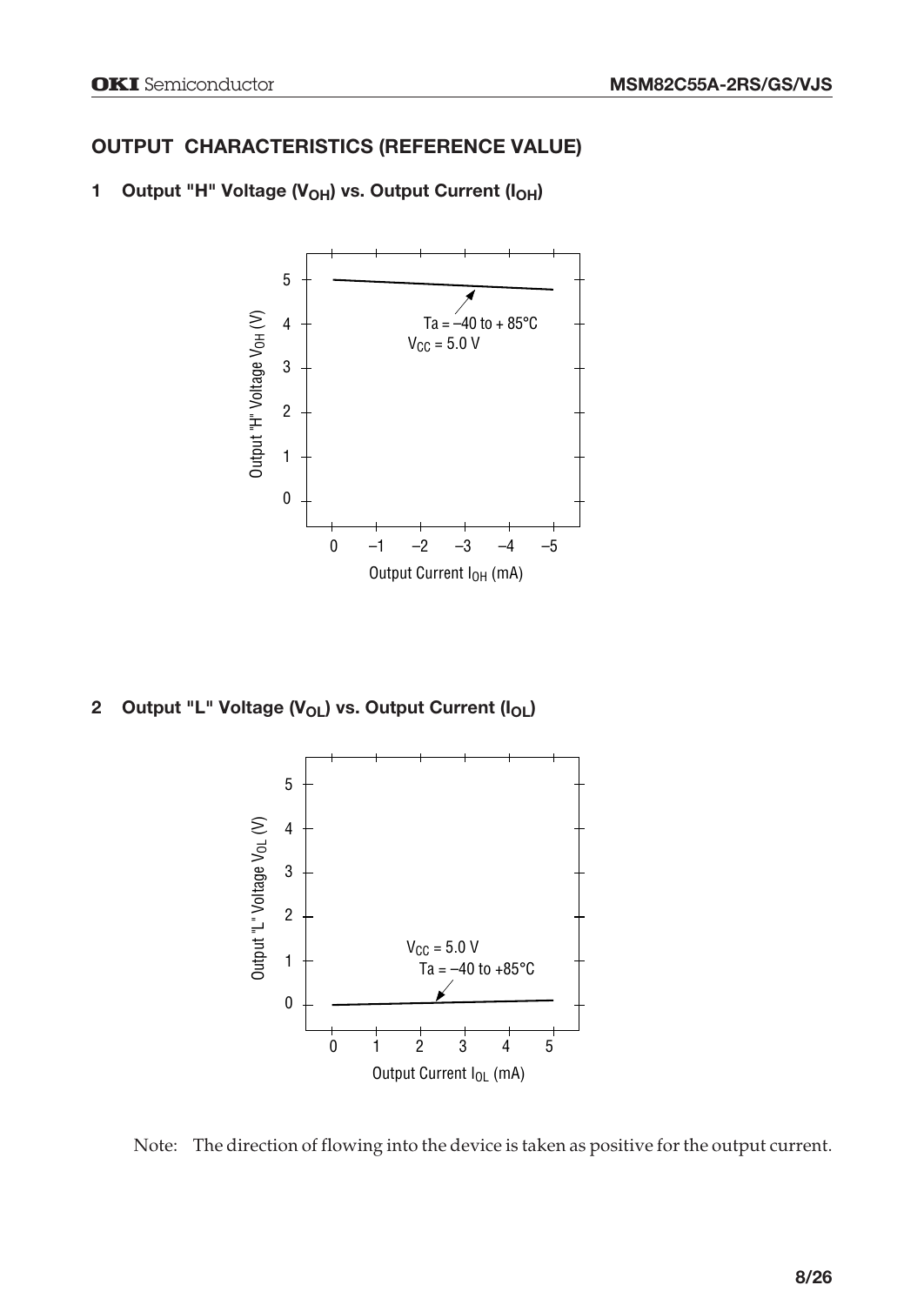# **OUTPUT CHARACTERISTICS (REFERENCE VALUE)**



# 1 Output "H" Voltage (V<sub>OH</sub>) vs. Output Current (I<sub>OH</sub>)

2 Output "L" Voltage (V<sub>OL</sub>) vs. Output Current (I<sub>OL</sub>)



Note: The direction of flowing into the device is taken as positive for the output current.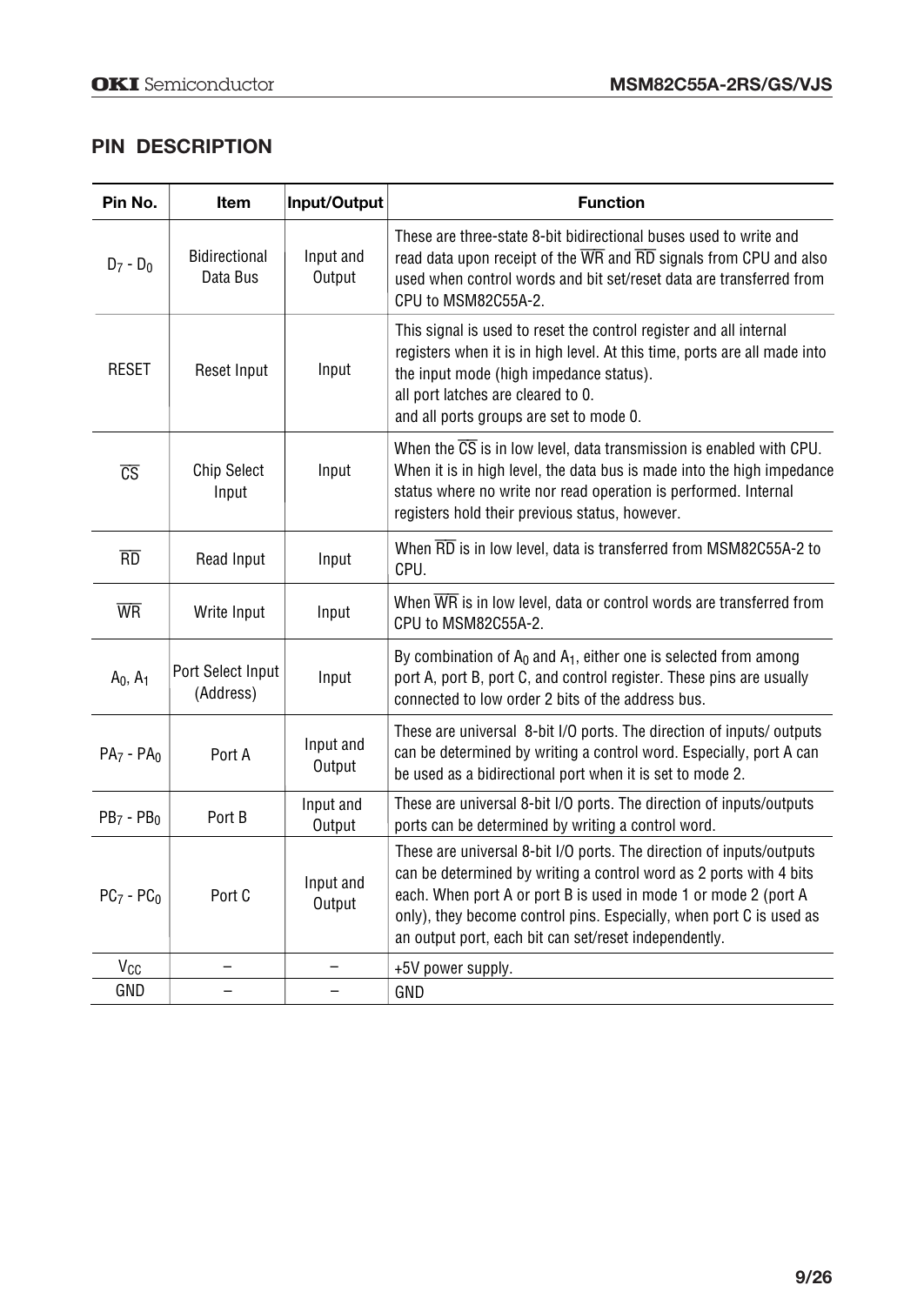# **PIN DESCRIPTION**

| Pin No.                | Item                             | Input/Output        | <b>Function</b>                                                                                                                                                                                                                                                                                                                               |
|------------------------|----------------------------------|---------------------|-----------------------------------------------------------------------------------------------------------------------------------------------------------------------------------------------------------------------------------------------------------------------------------------------------------------------------------------------|
| $D_7 - D_0$            | <b>Bidirectional</b><br>Data Bus | Input and<br>Output | These are three-state 8-bit bidirectional buses used to write and<br>read data upon receipt of the WR and RD signals from CPU and also<br>used when control words and bit set/reset data are transferred from<br>CPU to MSM82C55A-2.                                                                                                          |
| <b>RESET</b>           | Reset Input                      | Input               | This signal is used to reset the control register and all internal<br>registers when it is in high level. At this time, ports are all made into<br>the input mode (high impedance status).<br>all port latches are cleared to 0.<br>and all ports groups are set to mode 0.                                                                   |
| $\overline{\text{CS}}$ | <b>Chip Select</b><br>Input      | Input               | When the $\overline{CS}$ is in low level, data transmission is enabled with CPU.<br>When it is in high level, the data bus is made into the high impedance<br>status where no write nor read operation is performed. Internal<br>registers hold their previous status, however.                                                               |
| $\overline{RD}$        | Read Input                       | Input               | When RD is in low level, data is transferred from MSM82C55A-2 to<br>CPU.                                                                                                                                                                                                                                                                      |
| <b>WR</b>              | Write Input                      | Input               | When WR is in low level, data or control words are transferred from<br>CPU to MSM82C55A-2.                                                                                                                                                                                                                                                    |
| $A_0, A_1$             | Port Select Input<br>(Address)   | Input               | By combination of $A_0$ and $A_1$ , either one is selected from among<br>port A, port B, port C, and control register. These pins are usually<br>connected to low order 2 bits of the address bus.                                                                                                                                            |
| $PA7 - PA0$            | Port A                           | Input and<br>Output | These are universal 8-bit I/O ports. The direction of inputs/ outputs<br>can be determined by writing a control word. Especially, port A can<br>be used as a bidirectional port when it is set to mode 2.                                                                                                                                     |
| $PB7 - PB0$            | Port B                           | Input and<br>Output | These are universal 8-bit I/O ports. The direction of inputs/outputs<br>ports can be determined by writing a control word.                                                                                                                                                                                                                    |
| $PC7$ - $PC0$          | Port C                           | Input and<br>Output | These are universal 8-bit I/O ports. The direction of inputs/outputs<br>can be determined by writing a control word as 2 ports with 4 bits<br>each. When port A or port B is used in mode 1 or mode 2 (port A<br>only), they become control pins. Especially, when port C is used as<br>an output port, each bit can set/reset independently. |
| V <sub>cc</sub>        |                                  |                     | +5V power supply.                                                                                                                                                                                                                                                                                                                             |
| GND                    |                                  |                     | GND                                                                                                                                                                                                                                                                                                                                           |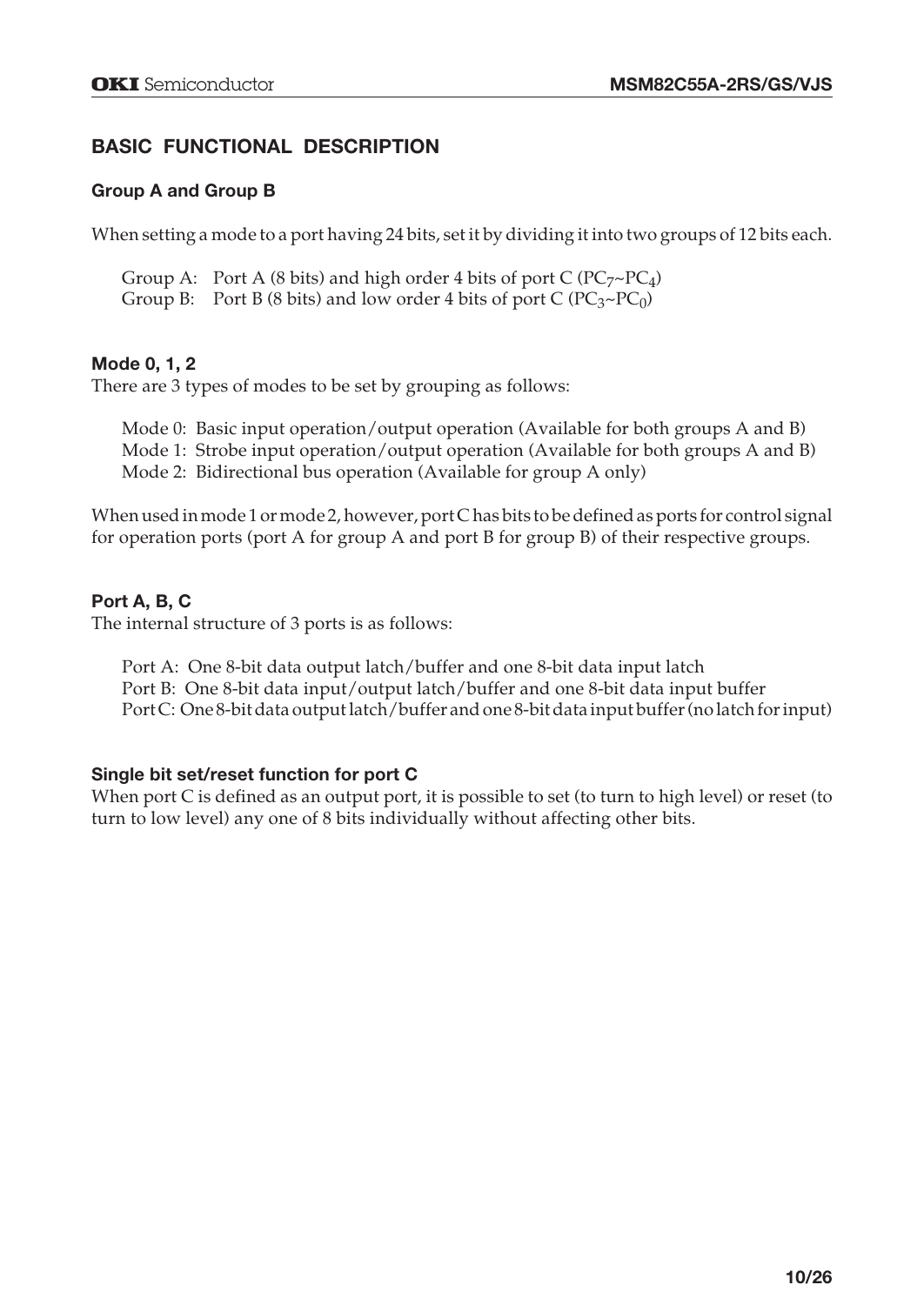# **BASIC FUNCTIONAL DESCRIPTION**

#### **Group A and Group B**

When setting a mode to a port having 24 bits, set it by dividing it into two groups of 12 bits each.

Group A: Port A (8 bits) and high order 4 bits of port C ( $PC_7 \sim PC_4$ ) Group B: Port B (8 bits) and low order 4 bits of port C ( $PC_3 \sim PC_0$ )

#### **Mode 0, 1, 2**

There are 3 types of modes to be set by grouping as follows:

Mode 0: Basic input operation/output operation (Available for both groups A and B) Mode 1: Strobe input operation/output operation (Available for both groups A and B) Mode 2: Bidirectional bus operation (Available for group A only)

When used in mode 1 or mode 2, however, port C has bits to be defined as ports for control signal for operation ports (port A for group A and port B for group B) of their respective groups.

#### **Port A, B, C**

The internal structure of 3 ports is as follows:

Port A: One 8-bit data output latch/buffer and one 8-bit data input latch Port B: One 8-bit data input/output latch/buffer and one 8-bit data input buffer Port C: One 8-bit data output latch/buffer and one 8-bit data input buffer (no latch for input)

#### **Single bit set/reset function for port C**

When port C is defined as an output port, it is possible to set (to turn to high level) or reset (to turn to low level) any one of 8 bits individually without affecting other bits.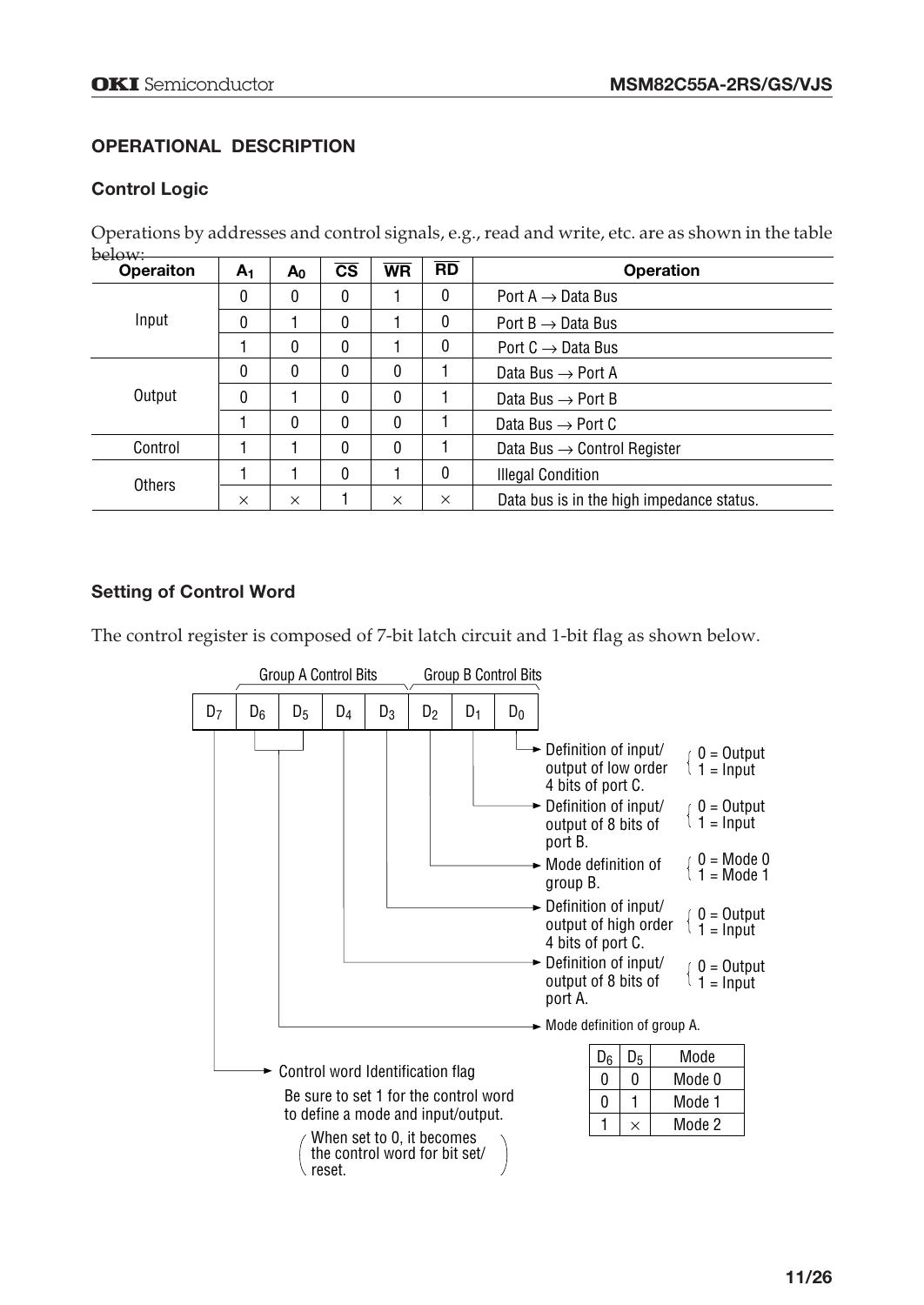# **OPERATIONAL DESCRIPTION**

#### **Control Logic**

Operations by addresses and control signals, e.g., read and write, etc. are as shown in the table below:

| <b>Operaiton</b> | A <sub>1</sub> | $A_0$        | $\overline{\text{cs}}$ | <b>WR</b>    | $\overline{RD}$ | <b>Operation</b>                          |  |  |
|------------------|----------------|--------------|------------------------|--------------|-----------------|-------------------------------------------|--|--|
|                  | $\mathbf{0}$   | 0            | 0                      |              | $\mathbf{0}$    | Port A $\rightarrow$ Data Bus             |  |  |
| Input            | 0              |              | 0                      |              | $\mathbf{0}$    | Port $B \rightarrow$ Data Bus             |  |  |
|                  |                | 0            | 0                      |              | 0               | Port $C \rightarrow$ Data Bus             |  |  |
|                  | $\mathbf{0}$   | 0            | 0                      | $\mathbf{0}$ |                 | Data Bus $\rightarrow$ Port A             |  |  |
| Output           | 0              |              | 0                      | $\mathbf{0}$ |                 | Data Bus $\rightarrow$ Port B             |  |  |
|                  |                | $\mathbf{0}$ | 0                      | $\Omega$     |                 | Data Bus $\rightarrow$ Port C             |  |  |
| Control          |                |              | 0                      | $\mathbf{0}$ |                 | Data Bus $\rightarrow$ Control Register   |  |  |
| Others           |                |              | 0                      |              | 0               | <b>Illegal Condition</b>                  |  |  |
|                  | $\times$       | $\times$     |                        | $\times$     | $\times$        | Data bus is in the high impedance status. |  |  |

## **Setting of Control Word**

The control register is composed of 7-bit latch circuit and 1-bit flag as shown below.

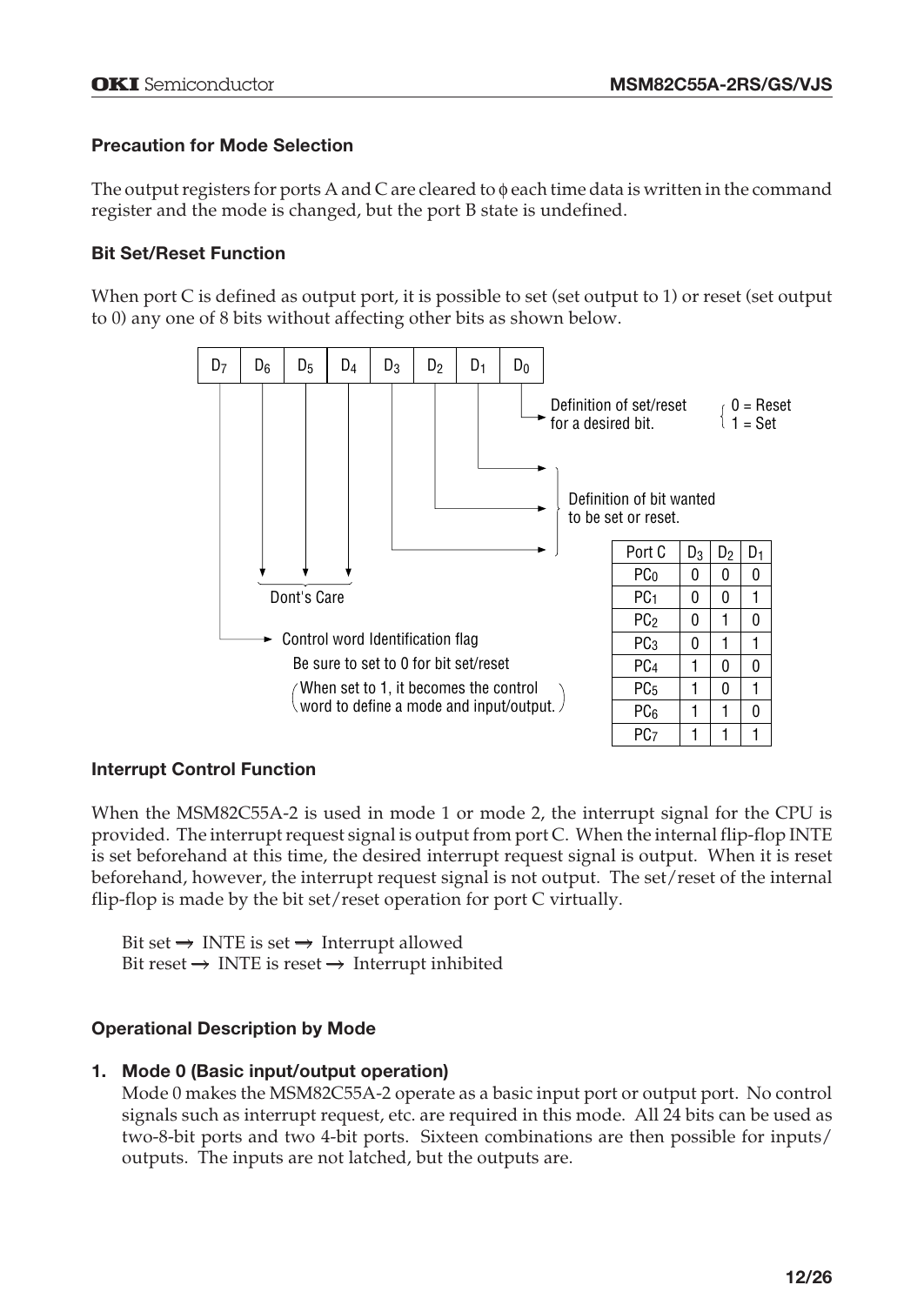## **Precaution for Mode Selection**

The output registers for ports A and C are cleared to  $\phi$  each time data is written in the command register and the mode is changed, but the port B state is undefined.

#### **Bit Set/Reset Function**

When port C is defined as output port, it is possible to set (set output to 1) or reset (set output to 0) any one of 8 bits without affecting other bits as shown below.



#### **Interrupt Control Function**

When the MSM82C55A-2 is used in mode 1 or mode 2, the interrupt signal for the CPU is provided. The interrupt request signal is output from port C. When the internal flip-flop INTE is set beforehand at this time, the desired interrupt request signal is output. When it is reset beforehand, however, the interrupt request signal is not output. The set/reset of the internal flip-flop is made by the bit set/reset operation for port C virtually.

Bit set  $\rightarrow$  INTE is set  $\rightarrow$  Interrupt allowed Bit reset  $\rightarrow$  INTE is reset  $\rightarrow$  Interrupt inhibited

## **Operational Description by Mode**

#### **1. Mode 0 (Basic input/output operation)**

Mode 0 makes the MSM82C55A-2 operate as a basic input port or output port. No control signals such as interrupt request, etc. are required in this mode. All 24 bits can be used as two-8-bit ports and two 4-bit ports. Sixteen combinations are then possible for inputs/ outputs. The inputs are not latched, but the outputs are.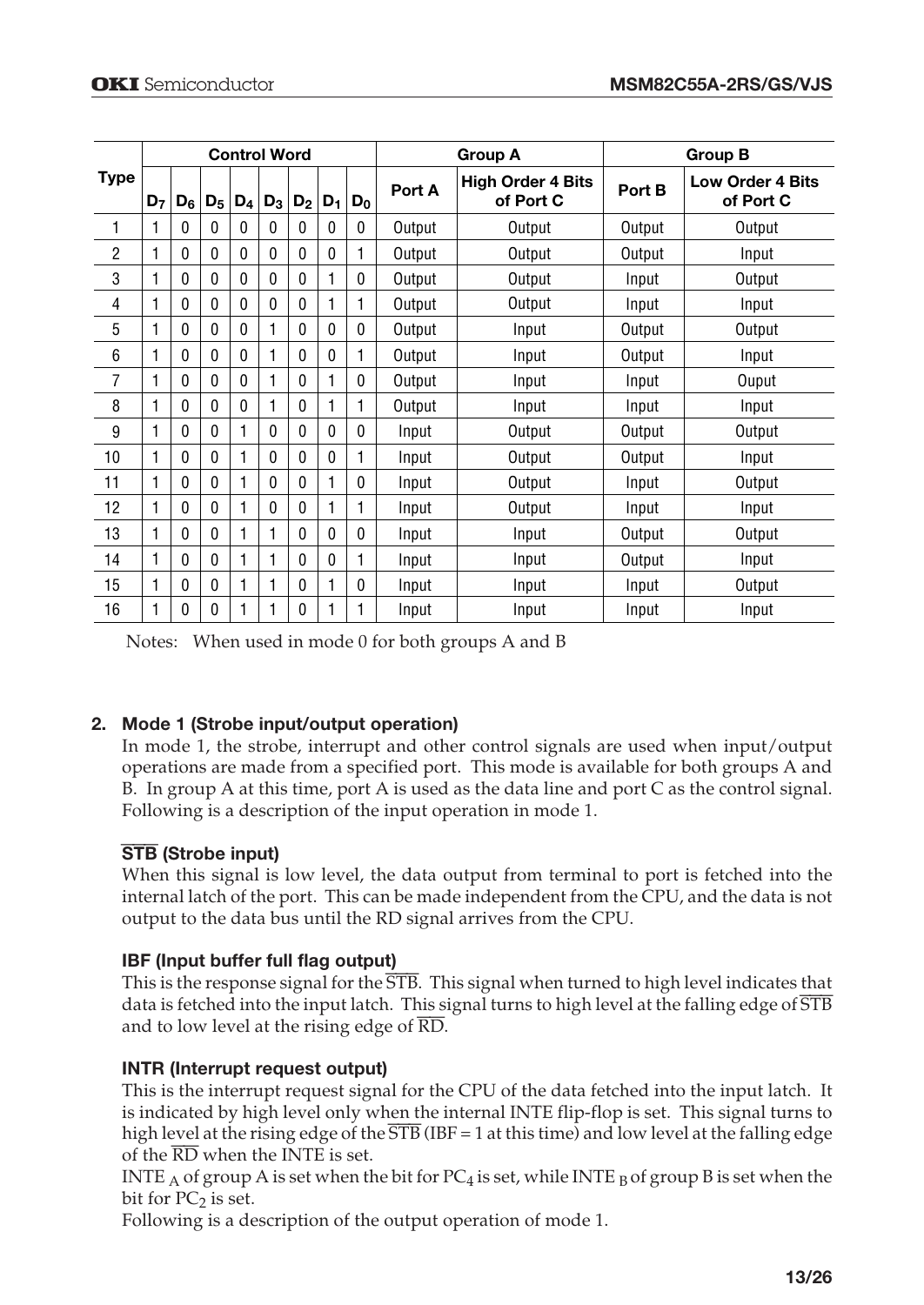|                | <b>Control Word</b> |              |                |                |              |              |              |              |        | <b>Group A</b>                        | <b>Group B</b> |                                      |  |
|----------------|---------------------|--------------|----------------|----------------|--------------|--------------|--------------|--------------|--------|---------------------------------------|----------------|--------------------------------------|--|
| Type           | D <sub>7</sub>      | $D_6$        | $\mathsf{D}_5$ | D <sub>4</sub> | $D_3$        | $D_2$        | $D_1$        | $D_0$        | Port A | <b>High Order 4 Bits</b><br>of Port C | Port B         | <b>Low Order 4 Bits</b><br>of Port C |  |
| 1              | 1                   | 0            | $\mathbf{0}$   | 0              | 0            | $\mathbf{0}$ | 0            | 0            | Output | Output                                | Output         | Output                               |  |
| $\overline{2}$ | 1                   | $\mathbf{0}$ | 0              | 0              | 0            | $\mathbf{0}$ | 0            |              | Output | Output                                | Output         | Input                                |  |
| 3              | 1                   | $\mathbf{0}$ | 0              | 0              | 0            | $\mathbf{0}$ | 1            | $\mathbf{0}$ | Output | Output                                | Input          | Output                               |  |
| 4              | 1                   | 0            | 0              | 0              | 0            | 0            | 1            |              | Output | Output                                | Input          | Input                                |  |
| 5              | 1                   | 0            | 0              | 0              | 1            | $\mathbf{0}$ | 0            | 0            | Output | Input                                 | Output         | Output                               |  |
| 6              | 1                   | 0            | 0              | 0              | 1            | $\mathbf{0}$ | 0            |              | Output | Input                                 | Output         | Input                                |  |
| 7              | 1                   | 0            | $\Omega$       | 0              | 1            | $\Omega$     | 1            | 0            | Output | Input                                 | Input          | Ouput                                |  |
| 8              | 1                   | 0            | 0              | 0              | 1            | $\mathbf{0}$ | 1            | 1            | Output | Input                                 | Input          | Input                                |  |
| 9              | 1                   | $\mathbf{0}$ | 0              | 1              | 0            | $\mathbf{0}$ | 0            | 0            | Input  | Output                                | Output         | Output                               |  |
| 10             | 1                   | $\mathbf{0}$ | $\mathbf{0}$   | 1              | 0            | $\mathbf{0}$ | $\mathbf{0}$ | 1            | Input  | Output                                | Output         | Input                                |  |
| 11             | 1                   | 0            | 0              | 1              | 0            | 0            | 1            | 0            | Input  | Output                                | Input          | Output                               |  |
| 12             | 1                   | $\mathbf{0}$ | 0              | 1              | $\mathbf{0}$ | $\mathbf{0}$ | 1            | 1            | Input  | Output                                | Input          | Input                                |  |
| 13             | 1                   | 0            | 0              | 1              | 1            | 0            | 0            | 0            | Input  | Input                                 | Output         | Output                               |  |
| 14             | 1                   | 0            | 0              | 1              | 1            | $\mathbf{0}$ | 0            | 1            | Input  | Input                                 | Output         | Input                                |  |
| 15             | 1                   | 0            | 0              | 1              | 1            | 0            | 1            | 0            | Input  | Input                                 | Input          | Output                               |  |
| 16             | 1                   | 0            | 0              |                | 1            | 0            | 1            |              | Input  | Input                                 | Input          | Input                                |  |

Notes: When used in mode 0 for both groups A and B

## **2. Mode 1 (Strobe input/output operation)**

In mode 1, the strobe, interrupt and other control signals are used when input/output operations are made from a specified port. This mode is available for both groups A and B. In group A at this time, port A is used as the data line and port C as the control signal. Following is a description of the input operation in mode 1.

#### STB **(Strobe input)**

When this signal is low level, the data output from terminal to port is fetched into the internal latch of the port. This can be made independent from the CPU, and the data is not output to the data bus until the RD signal arrives from the CPU.

#### **IBF (Input buffer full flag output)**

This is the response signal for the STB. This signal when turned to high level indicates that data is fetched into the input latch. This signal turns to high level at the falling edge of STB and to low level at the rising edge of RD.

#### **INTR (Interrupt request output)**

This is the interrupt request signal for the CPU of the data fetched into the input latch. It is indicated by high level only when the internal INTE flip-flop is set. This signal turns to high level at the rising edge of the  $\overline{\text{STB}}$  (IBF = 1 at this time) and low level at the falling edge of the  $\overline{\text{RD}}$  when the INTE is set.

INTE  $_A$  of group A is set when the bit for PC<sub>4</sub> is set, while INTE  $_B$  of group B is set when the bit for  $PC_2$  is set.

Following is a description of the output operation of mode 1.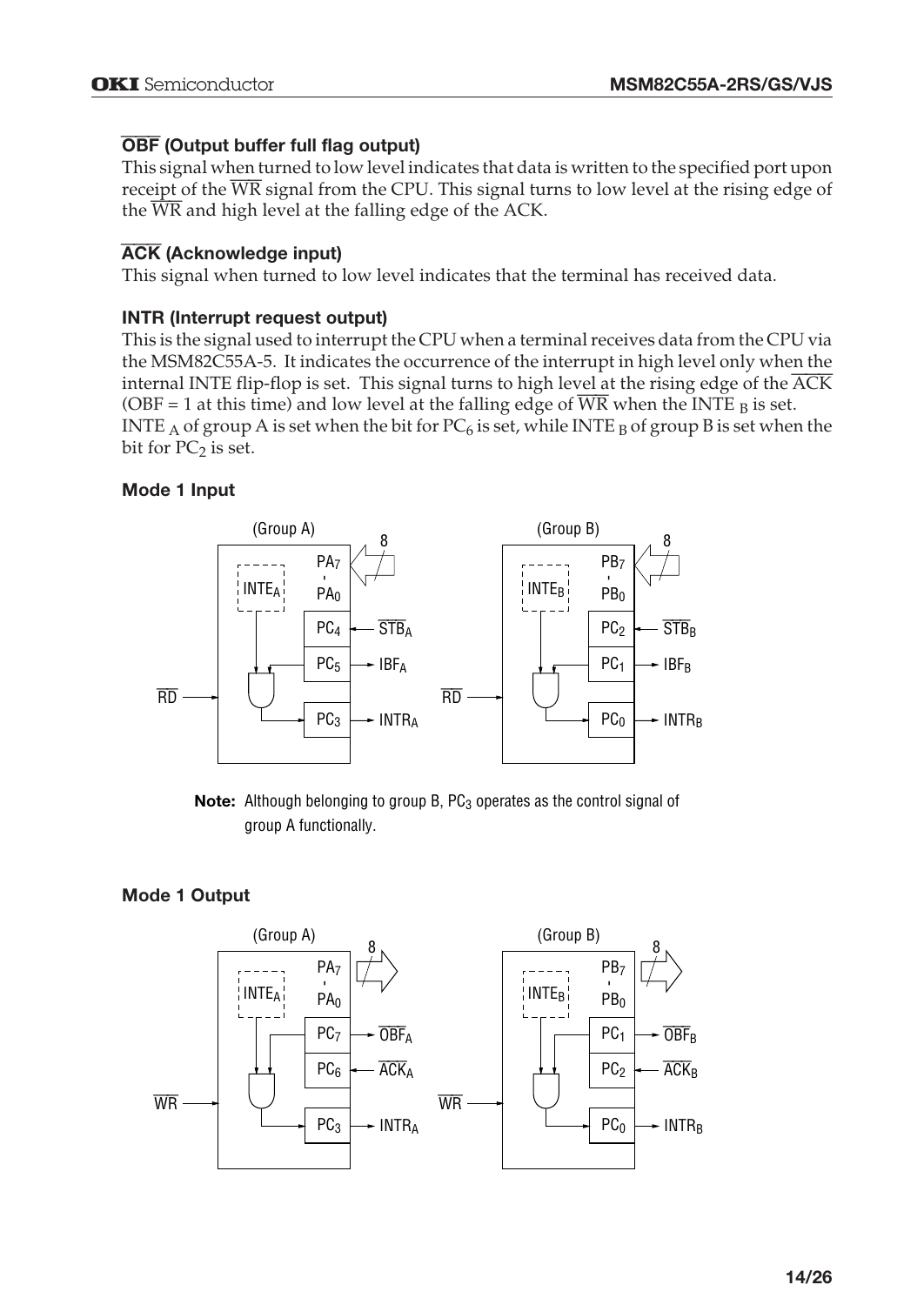# OBF **(Output buffer full flag output)**

This signal when turned to low level indicates that data is written to the specified port upon receipt of the WR signal from the CPU. This signal turns to low level at the rising edge of the  $\overline{WR}$  and high level at the falling edge of the ACK.

# ACK **(Acknowledge input)**

This signal when turned to low level indicates that the terminal has received data.

# **INTR (Interrupt request output)**

This is the signal used to interrupt the CPU when a terminal receives data from the CPU via the MSM82C55A-5. It indicates the occurrence of the interrupt in high level only when the internal INTE flip-flop is set. This signal turns to high level at the rising edge of the ACK (OBF = 1 at this time) and low level at the falling edge of WR when the INTE  $_B$  is set. INTE A of group A is set when the bit for  $PC_6$  is set, while INTE B of group B is set when the bit for  $PC_2$  is set.

# **Mode 1 Input**



**Note:** Although belonging to group B, PC<sub>3</sub> operates as the control signal of group A functionally.

# **Mode 1 Output**

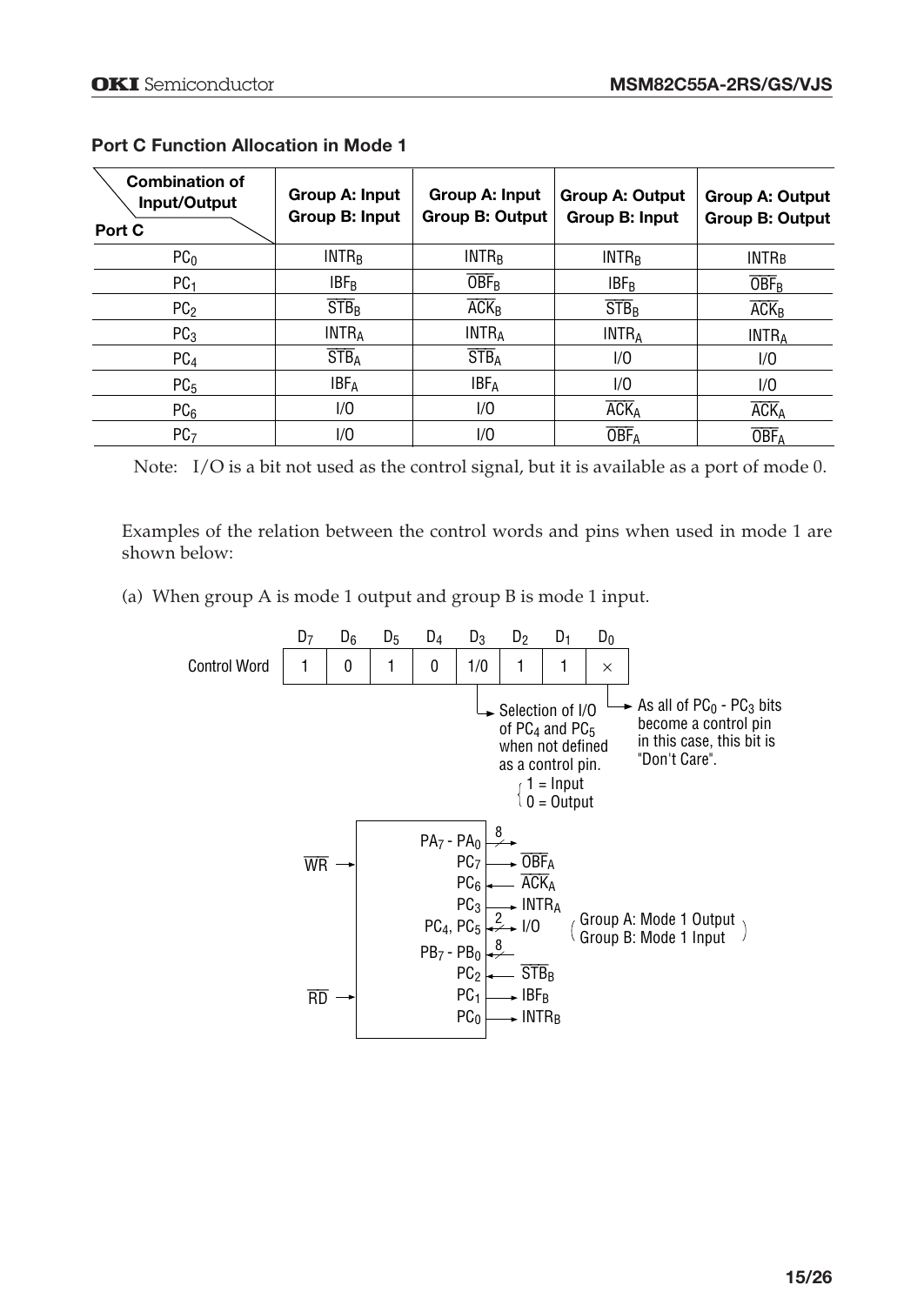| <b>Combination of</b><br>Input/Output<br>Port C | Group A: Input<br>Group B: Input   | Group A: Input<br><b>Group B: Output</b> | <b>Group A: Output</b><br>Group B: Input | <b>Group A: Output</b><br><b>Group B: Output</b> |
|-------------------------------------------------|------------------------------------|------------------------------------------|------------------------------------------|--------------------------------------------------|
| PC <sub>0</sub>                                 | INTR <sub>B</sub>                  | INTR <sub>B</sub>                        | INTR <sub>B</sub>                        | <b>INTRB</b>                                     |
| PC <sub>1</sub>                                 | <b>IBF<sub>R</sub></b>             | $\overline{\rm OBF}_{\rm B}$             | <b>IBFR</b>                              | <b>OBF<sub>B</sub></b>                           |
| PC <sub>2</sub>                                 | $STB_B$                            | $\overline{ACK}_B$                       | $STB_B$                                  | $\overline{ACK}_B$                               |
| PC <sub>3</sub>                                 | <b>INTRA</b>                       | <b>INTRA</b>                             | <b>INTRA</b>                             | <b>INTRA</b>                                     |
| PC <sub>4</sub>                                 | $\overline{\text{STB}}_{\text{A}}$ | $\overline{\text{STB}}_{\text{A}}$       | 1/0                                      | 1/0                                              |
| PC <sub>5</sub>                                 | <b>IBFA</b>                        | <b>IBFA</b>                              | 1/0                                      | 1/0                                              |
| PC <sub>6</sub>                                 | 1/0                                | 1/0                                      | <b>ACKA</b>                              | <b>ACK</b> <sub>A</sub>                          |
| PC <sub>7</sub>                                 | 1/0                                | 1/0                                      | <b>OBF</b> <sub>A</sub>                  | <b>OBF</b> <sub>A</sub>                          |

#### **Port C Function Allocation in Mode 1**

Note: I/O is a bit not used as the control signal, but it is available as a port of mode 0.

Examples of the relation between the control words and pins when used in mode 1 are shown below:

(a) When group A is mode 1 output and group B is mode 1 input.

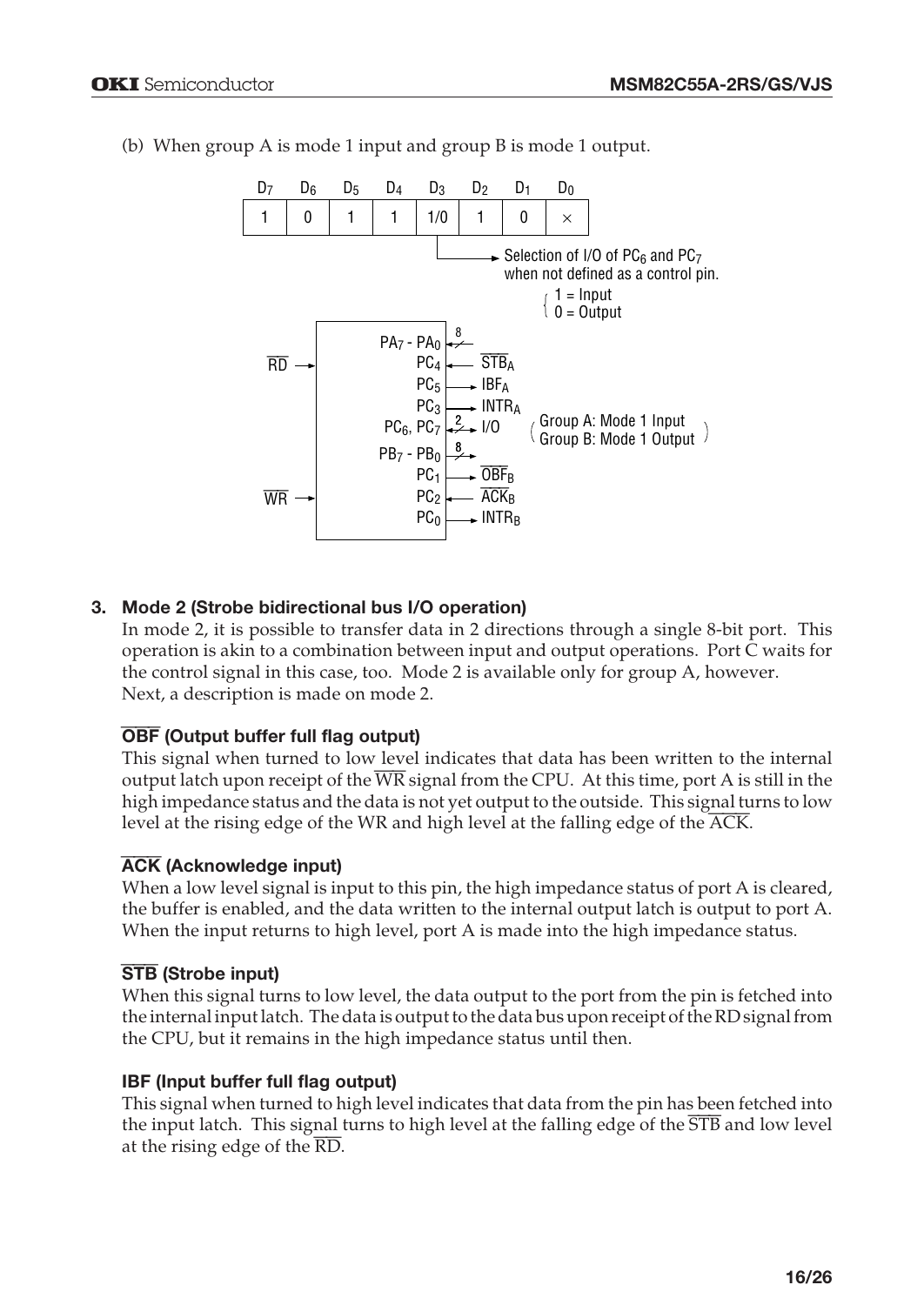

(b) When group A is mode 1 input and group B is mode 1 output.

## **3. Mode 2 (Strobe bidirectional bus I/O operation)**

In mode 2, it is possible to transfer data in 2 directions through a single 8-bit port. This operation is akin to a combination between input and output operations. Port C waits for the control signal in this case, too. Mode 2 is available only for group A, however. Next, a description is made on mode 2.

#### OBF **(Output buffer full flag output)**

This signal when turned to low level indicates that data has been written to the internal output latch upon receipt of the WR signal from the CPU. At this time, port A is still in the high impedance status and the data is not yet output to the outside. This signal turns to low level at the rising edge of the WR and high level at the falling edge of the ACK.

#### ACK **(Acknowledge input)**

When a low level signal is input to this pin, the high impedance status of port A is cleared, the buffer is enabled, and the data written to the internal output latch is output to port A. When the input returns to high level, port A is made into the high impedance status.

#### STB **(Strobe input)**

When this signal turns to low level, the data output to the port from the pin is fetched into the internal input latch. The data is output to the data bus upon receipt of the RD signal from the CPU, but it remains in the high impedance status until then.

#### **IBF (Input buffer full flag output)**

This signal when turned to high level indicates that data from the pin has been fetched into the input latch. This signal turns to high level at the falling edge of the  $\overline{STB}$  and low level at the rising edge of the  $\overline{\text{RD}}$ .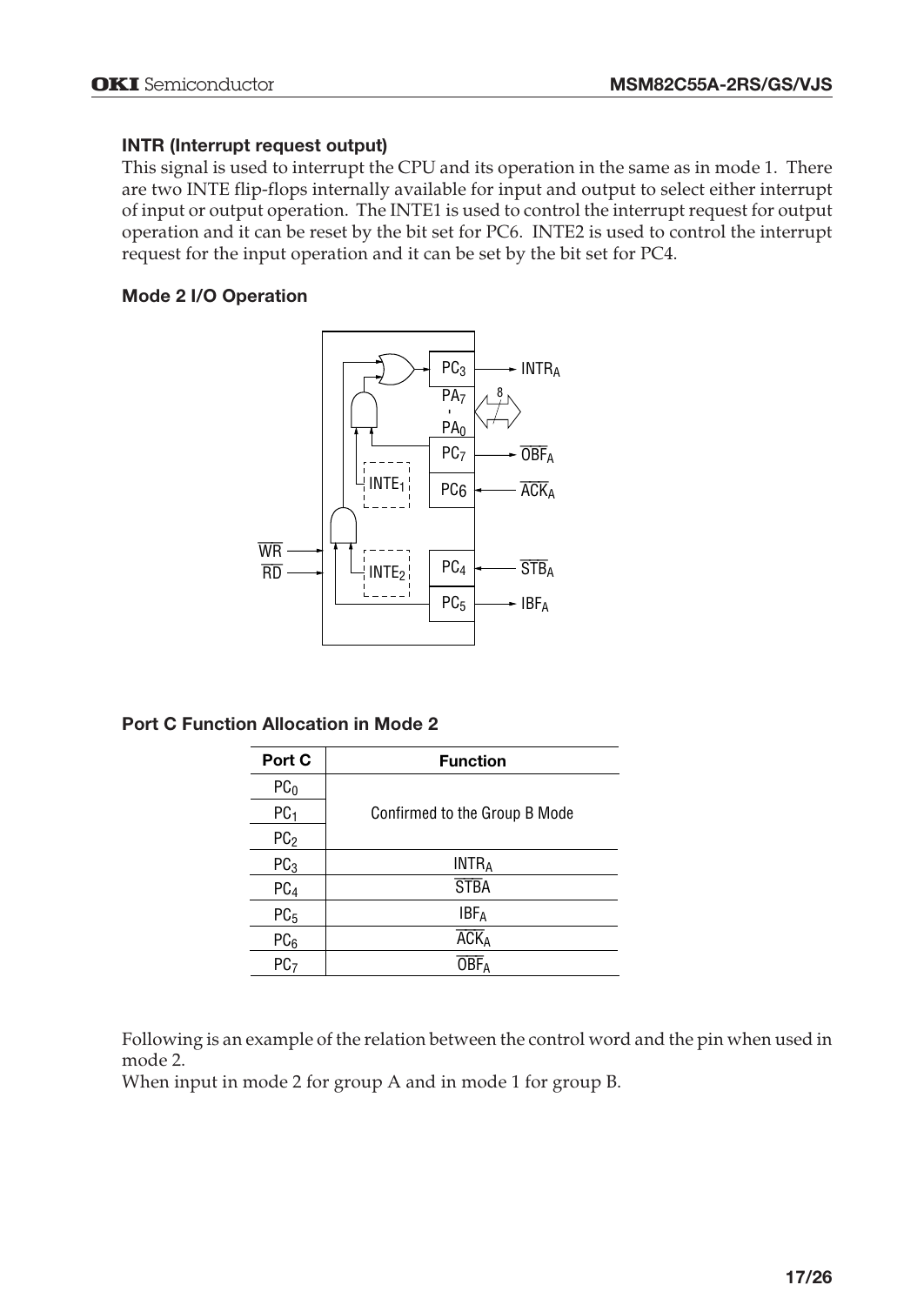#### **INTR (Interrupt request output)**

This signal is used to interrupt the CPU and its operation in the same as in mode 1. There are two INTE flip-flops internally available for input and output to select either interrupt of input or output operation. The INTE1 is used to control the interrupt request for output operation and it can be reset by the bit set for PC6. INTE2 is used to control the interrupt request for the input operation and it can be set by the bit set for PC4.

## **Mode 2 I/O Operation**



**Port C Function Allocation in Mode 2**

| Port C          | <b>Function</b>               |
|-----------------|-------------------------------|
| PC <sub>0</sub> |                               |
| PC <sub>1</sub> | Confirmed to the Group B Mode |
| PC <sub>2</sub> |                               |
| PC <sub>3</sub> | <b>INTRA</b>                  |
| PC <sub>4</sub> | <b>STBA</b>                   |
| PC <sub>5</sub> | <b>IBF</b> <sub>A</sub>       |
| PC <sub>6</sub> | <b>ACK</b> <sub>A</sub>       |
| PC7             |                               |

Following is an example of the relation between the control word and the pin when used in mode 2.

When input in mode 2 for group A and in mode 1 for group B.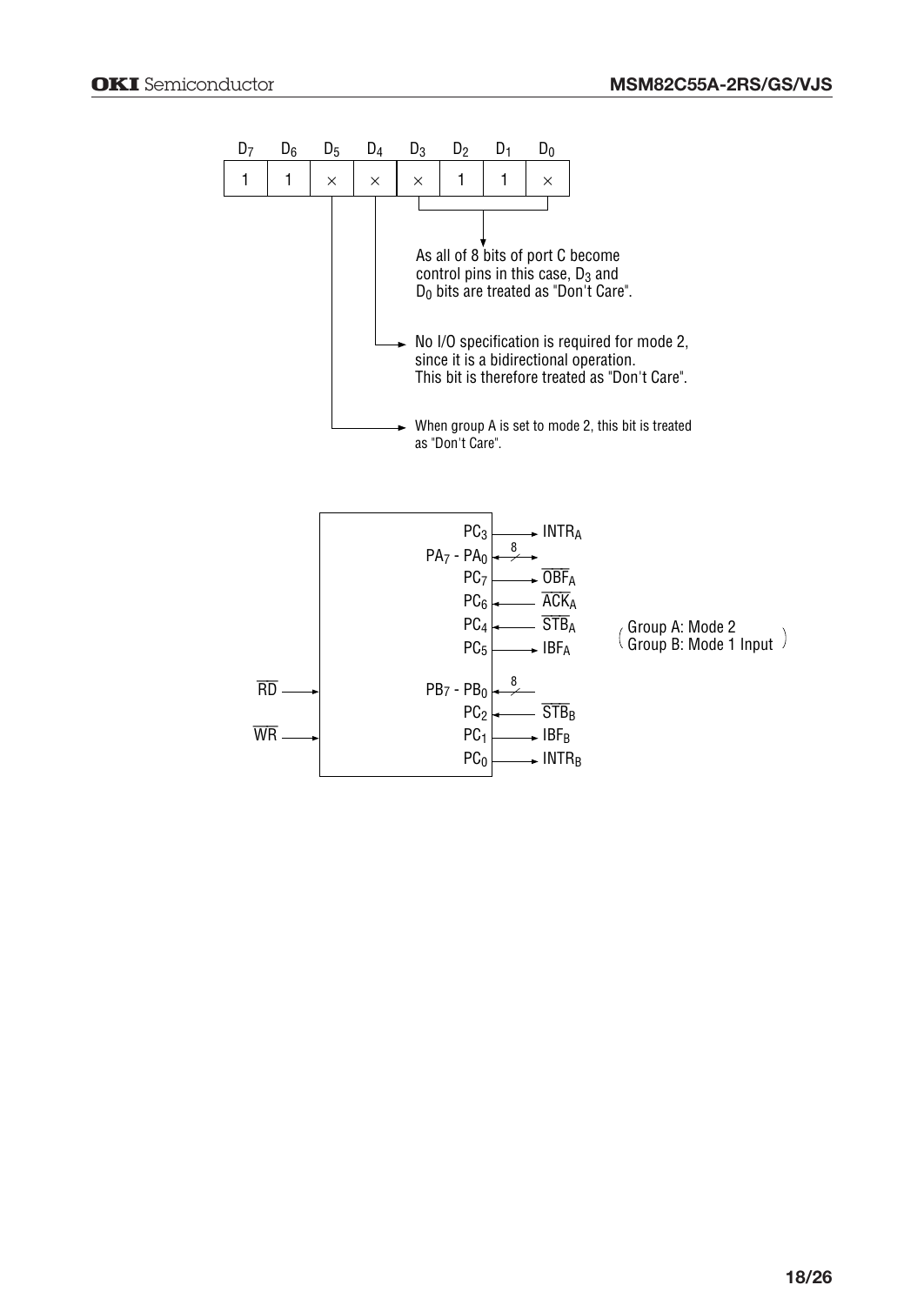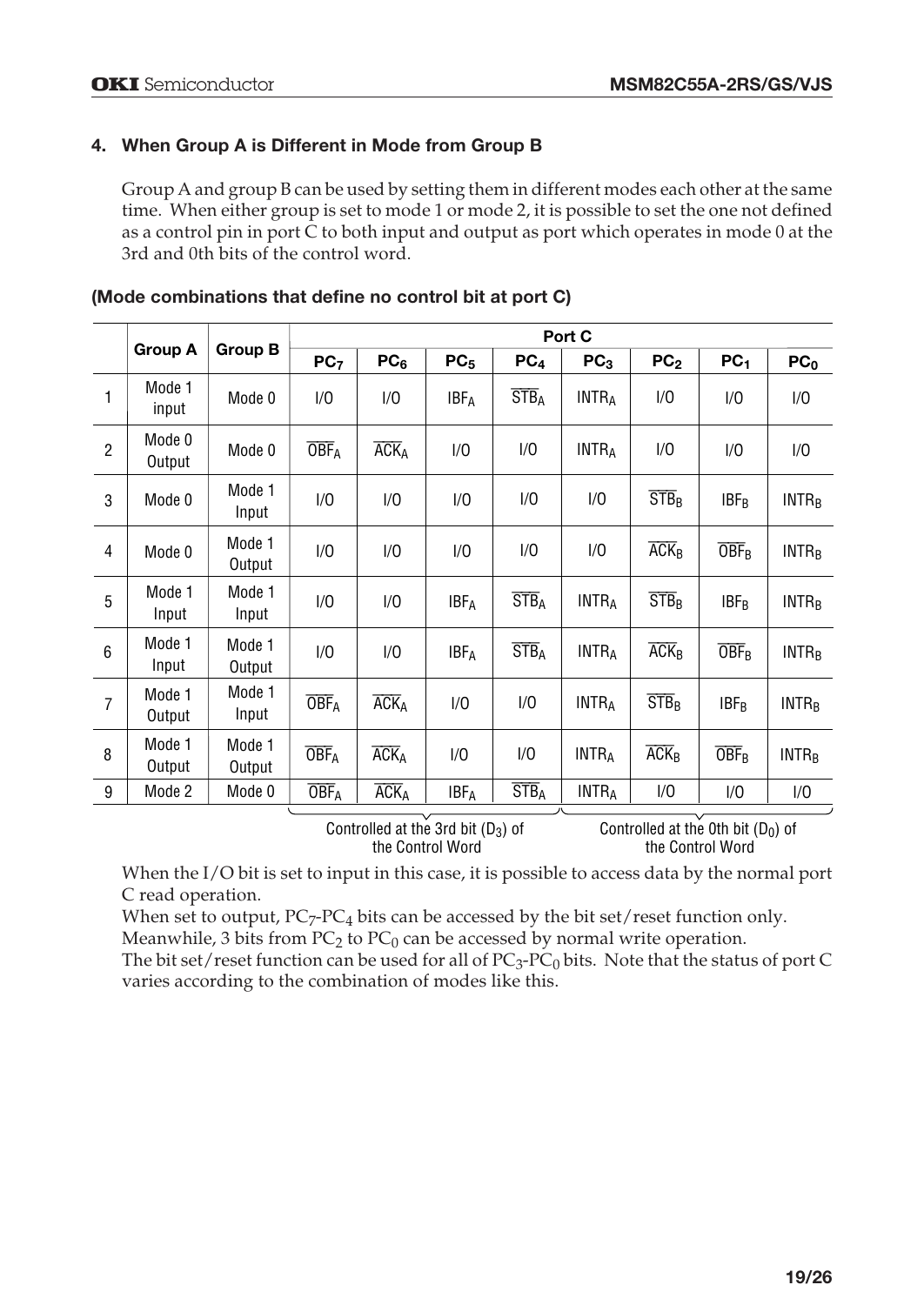## **4. When Group A is Different in Mode from Group B**

Group A and group B can be used by setting them in different modes each other at the same time. When either group is set to mode 1 or mode 2, it is possible to set the one not defined as a control pin in port C to both input and output as port which operates in mode 0 at the 3rd and 0th bits of the control word.

|                |                  |                  |                         |                         |                         |                  | Port C          |                    |                              |                         |
|----------------|------------------|------------------|-------------------------|-------------------------|-------------------------|------------------|-----------------|--------------------|------------------------------|-------------------------|
|                | <b>Group A</b>   | Group B          | PC <sub>7</sub>         | PC <sub>6</sub>         | PC <sub>5</sub>         | PC <sub>4</sub>  | PC <sub>3</sub> | PC <sub>2</sub>    | PC <sub>1</sub>              | PC <sub>0</sub>         |
| 1              | Mode 1<br>input  | Mode 0           | 1/0                     | 1/0                     | <b>IBFA</b>             | STB <sub>A</sub> | <b>INTRA</b>    | 1/0                | 1/0                          | 1/0                     |
| $\overline{2}$ | Mode 0<br>Output | Mode 0           | <b>OBF</b> <sub>A</sub> | <b>ACKA</b>             | 1/0                     | 1/0              | <b>INTRA</b>    | 1/0                | 1/0                          | 1/0                     |
| 3              | Mode 0           | Mode 1<br>Input  | 1/0                     | 1/0                     | 1/0                     | 1/0              | 1/0             | STB <sub>R</sub>   | $IBF_B$                      | <b>INTR<sub>R</sub></b> |
| $\overline{4}$ | Mode 0           | Mode 1<br>Output | 1/0                     | 1/0                     | 1/0                     | 1/0              | 1/0             | $\overline{ACK}_R$ | $\overline{\rm OBF}_{\rm B}$ | <b>INTR<sub>B</sub></b> |
| 5              | Mode 1<br>Input  | Mode 1<br>Input  | 1/0                     | 1/0                     | <b>IBFA</b>             | STB <sub>A</sub> | <b>INTRA</b>    | STB <sub>R</sub>   | $IBF_B$                      | INTR <sub>B</sub>       |
| 6              | Mode 1<br>Input  | Mode 1<br>Output | 1/0                     | 1/0                     | <b>IBFA</b>             | STB <sub>A</sub> | <b>INTRA</b>    | $\overline{ACK}_R$ | <b>OBF</b> <sub>R</sub>      | <b>INTR<sub>B</sub></b> |
| $\overline{7}$ | Mode 1<br>Output | Mode 1<br>Input  | <b>OBF</b> <sub>A</sub> | <b>ACK</b> <sub>A</sub> | 1/0                     | 1/0              | <b>INTRA</b>    | STB <sub>R</sub>   | $IBF_B$                      | <b>INTR<sub>R</sub></b> |
| 8              | Mode 1<br>Output | Mode 1<br>Output | <b>OBF</b> <sub>A</sub> | <b>ACKA</b>             | 1/0                     | 1/0              | <b>INTRA</b>    | $\overline{ACK}_B$ | $\overline{\rm OBF}_{\rm B}$ | <b>INTR<sub>R</sub></b> |
| 9              | Mode 2           | Mode 0           | <b>OBF</b> <sub>A</sub> | <b>ACKA</b>             | <b>IBF</b> <sub>A</sub> | STB <sub>A</sub> | <b>INTRA</b>    | 1/0                | 1/0                          | 1/0                     |

|  | (Mode combinations that define no control bit at port C) |  |  |  |  |  |
|--|----------------------------------------------------------|--|--|--|--|--|
|--|----------------------------------------------------------|--|--|--|--|--|

Controlled at the 3rd bit  $(D_3)$  of the Control Word

Controlled at the 0th bit  $(D_0)$  of the Control Word

When the I/O bit is set to input in this case, it is possible to access data by the normal port C read operation.

When set to output,  $PC_7$ - $PC_4$  bits can be accessed by the bit set/reset function only. Meanwhile, 3 bits from  $PC_2$  to  $PC_0$  can be accessed by normal write operation.

The bit set/reset function can be used for all of  $PC_3$ -PC<sub>0</sub> bits. Note that the status of port C varies according to the combination of modes like this.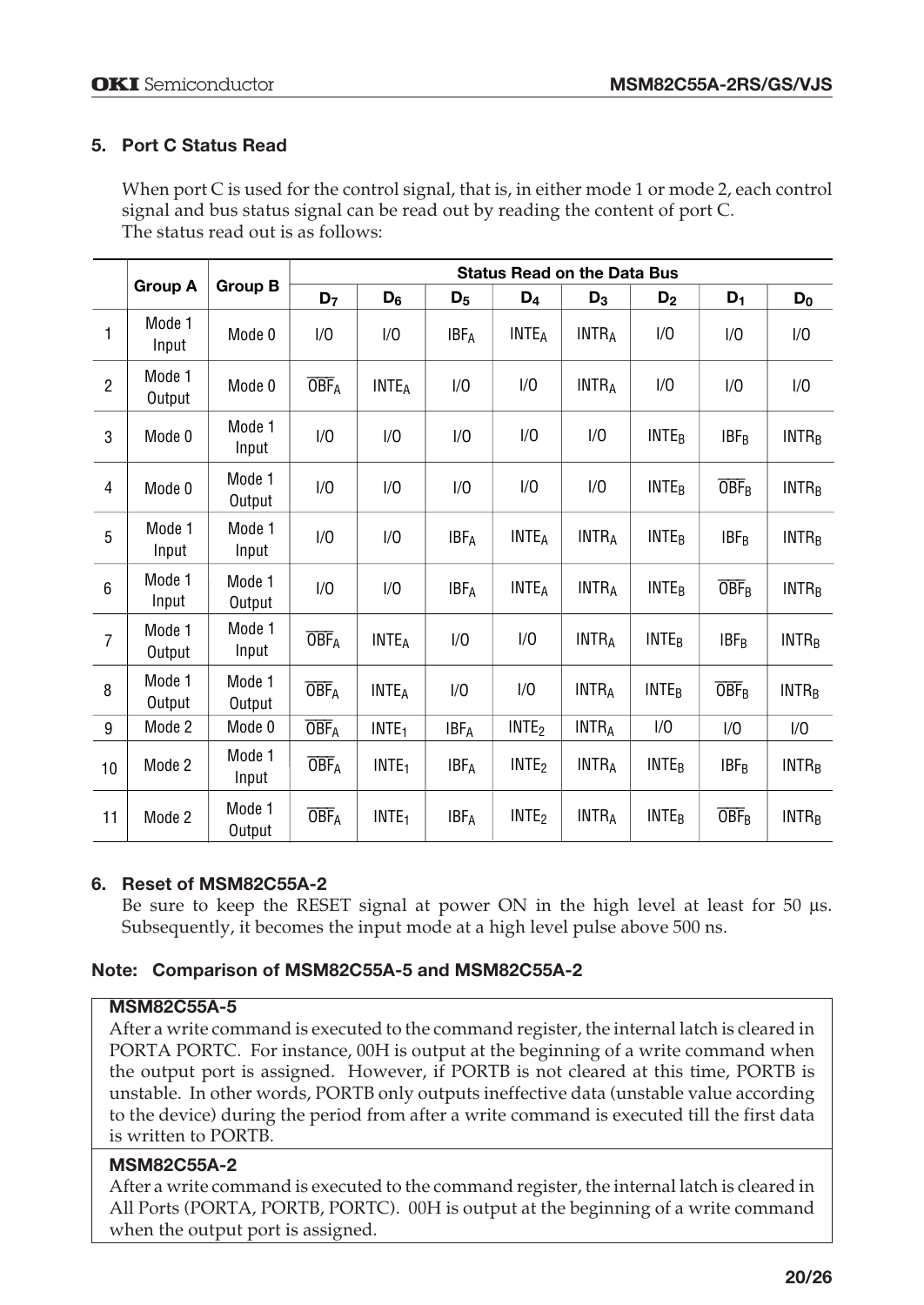## **5. Port C Status Read**

When port C is used for the control signal, that is, in either mode 1 or mode 2, each control signal and bus status signal can be read out by reading the content of port C. The status read out is as follows:

|                |                  |                  | <b>Status Read on the Data Bus</b> |                   |                         |                         |              |                         |                                        |                         |
|----------------|------------------|------------------|------------------------------------|-------------------|-------------------------|-------------------------|--------------|-------------------------|----------------------------------------|-------------------------|
|                | <b>Group A</b>   | <b>Group B</b>   | D <sub>7</sub>                     | $D_6$             | $D_5$                   | D <sub>4</sub>          | $D_3$        | D <sub>2</sub>          | $D_1$                                  | $D_0$                   |
| 1              | Mode 1<br>Input  | Mode 0           | 1/0                                | 1/0               | <b>IBFA</b>             | <b>INTEA</b>            | <b>INTRA</b> | 1/0                     | 1/0                                    | 1/0                     |
| $\overline{2}$ | Mode 1<br>Output | Mode 0           | <b>OBF</b> <sub>A</sub>            | <b>INTEA</b>      | 1/0                     | 1/0                     | <b>INTRA</b> | 1/0                     | 1/0                                    | 1/0                     |
| 3              | Mode 0           | Mode 1<br>Input  | 1/0                                | 1/0               | 1/0                     | 1/0                     | 1/0          | <b>INTE<sub>B</sub></b> | $IBF_B$                                | <b>INTR<sub>B</sub></b> |
| $\overline{4}$ | Mode 0           | Mode 1<br>Output | 1/0                                | 1/0               | 1/0                     | 1/0                     | 1/0          | <b>INTER</b>            | <b>OBF<sub>R</sub></b>                 | <b>INTR<sub>B</sub></b> |
| 5              | Mode 1<br>Input  | Mode 1<br>Input  | 1/0                                | 1/0               | <b>IBFA</b>             | <b>INTE<sub>A</sub></b> | <b>INTRA</b> | <b>INTE<sub>B</sub></b> | $IBF_B$                                | INTR <sub>B</sub>       |
| 6              | Mode 1<br>Input  | Mode 1<br>Output | 1/0                                | 1/0               | <b>IBF</b> <sub>A</sub> | <b>INTEA</b>            | <b>INTRA</b> | <b>INTE<sub>B</sub></b> | $\overline{\mathrm{OBF}}_{\mathrm{B}}$ | <b>INTR<sub>B</sub></b> |
| $\overline{7}$ | Mode 1<br>Output | Mode 1<br>Input  | <b>OBF</b> <sub>A</sub>            | <b>INTEA</b>      | 1/0                     | 1/0                     | <b>INTRA</b> | <b>INTE<sub>B</sub></b> | $IBF_B$                                | <b>INTR<sub>B</sub></b> |
| 8              | Mode 1<br>Output | Mode 1<br>Output | <b>OBF</b> <sub>A</sub>            | <b>INTEA</b>      | 1/0                     | 1/0                     | <b>INTRA</b> | <b>INTE<sub>B</sub></b> | <b>OBF</b> <sub>R</sub>                | INTR <sub>B</sub>       |
| 9              | Mode 2           | Mode 0           | <b>OBF</b> <sub>A</sub>            | INTE <sub>1</sub> | <b>IBFA</b>             | INTE <sub>2</sub>       | <b>INTRA</b> | 1/0                     | 1/0                                    | 1/0                     |
| 10             | Mode 2           | Mode 1<br>Input  | <b>OBF</b> <sub>A</sub>            | INTE <sub>1</sub> | <b>IBFA</b>             | INTE <sub>2</sub>       | <b>INTRA</b> | <b>INTE<sub>B</sub></b> | $IBF_B$                                | <b>INTR<sub>B</sub></b> |
| 11             | Mode 2           | Mode 1<br>Output | $\overline{\mathrm{OBF}}_{A}$      | INTE <sub>1</sub> | <b>IBFA</b>             | INTE <sub>2</sub>       | <b>INTRA</b> | <b>INTE<sub>B</sub></b> | $\overline{\rm OBF}_{\rm B}$           | <b>INTR<sub>B</sub></b> |

## **6. Reset of MSM82C55A-2**

Be sure to keep the RESET signal at power ON in the high level at least for 50  $\mu$ s. Subsequently, it becomes the input mode at a high level pulse above 500 ns.

## **Note: Comparison of MSM82C55A-5 and MSM82C55A-2**

#### **MSM82C55A-5**

After a write command is executed to the command register, the internal latch is cleared in PORTA PORTC. For instance, 00H is output at the beginning of a write command when the output port is assigned. However, if PORTB is not cleared at this time, PORTB is unstable. In other words, PORTB only outputs ineffective data (unstable value according to the device) during the period from after a write command is executed till the first data is written to PORTB.

#### **MSM82C55A-2**

After a write command is executed to the command register, the internal latch is cleared in All Ports (PORTA, PORTB, PORTC). 00H is output at the beginning of a write command when the output port is assigned.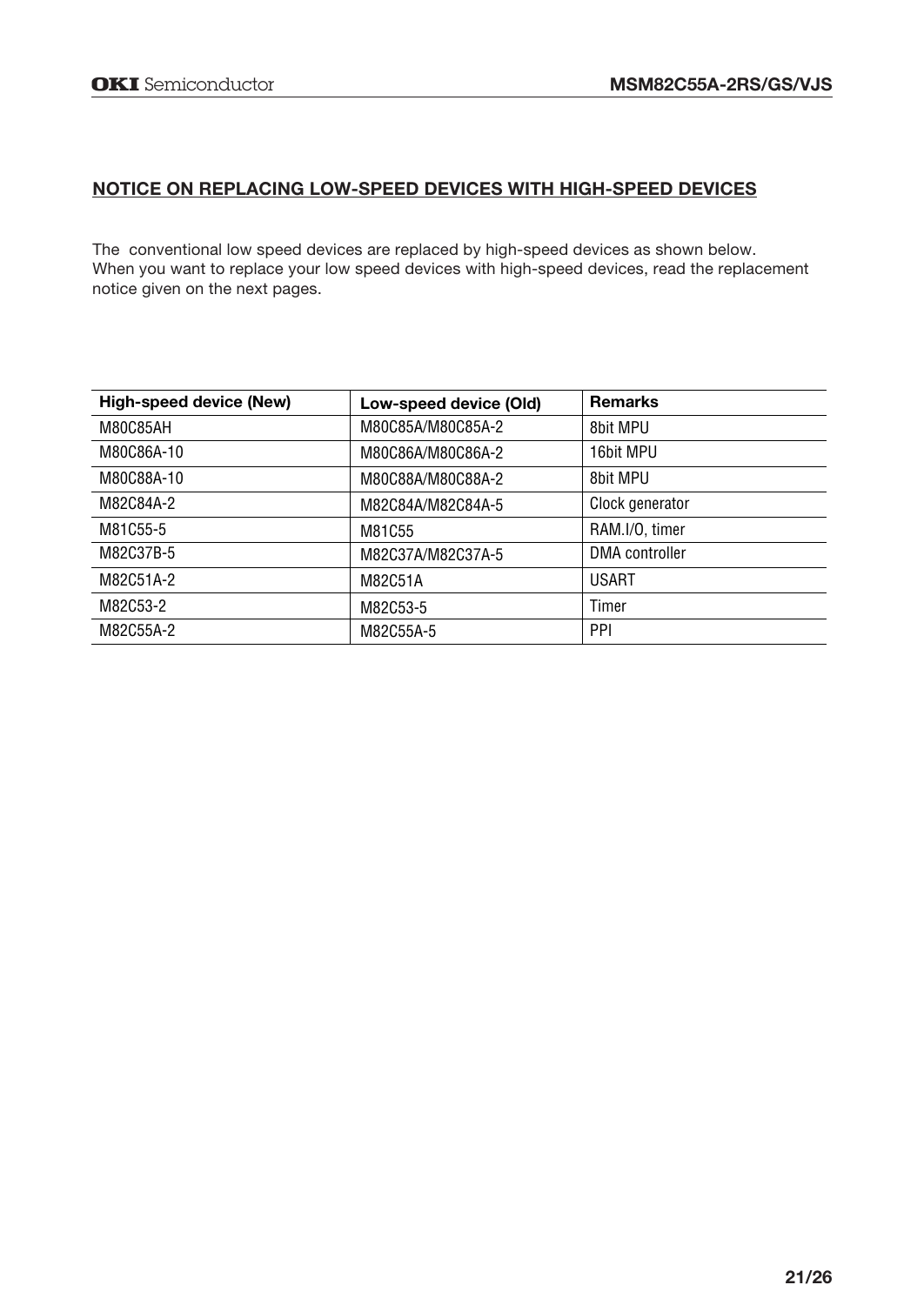# **NOTICE ON REPLACING LOW-SPEED DEVICES WITH HIGH-SPEED DEVICES**

The conventional low speed devices are replaced by high-speed devices as shown below. When you want to replace your low speed devices with high-speed devices, read the replacement notice given on the next pages.

| High-speed device (New) | Low-speed device (Old) | <b>Remarks</b>  |
|-------------------------|------------------------|-----------------|
| M80C85AH                | M80C85A/M80C85A-2      | 8bit MPU        |
| M80C86A-10              | M80C86A/M80C86A-2      | 16bit MPU       |
| M80C88A-10              | M80C88A/M80C88A-2      | 8bit MPU        |
| M82C84A-2               | M82C84A/M82C84A-5      | Clock generator |
| M81C55-5                | M81C55                 | RAM.I/O. timer  |
| M82C37B-5               | M82C37A/M82C37A-5      | DMA controller  |
| M82C51A-2               | M82C51A                | <b>USART</b>    |
| M82C53-2                | M82C53-5               | Timer           |
| M82C55A-2               | M82C55A-5              | PPI             |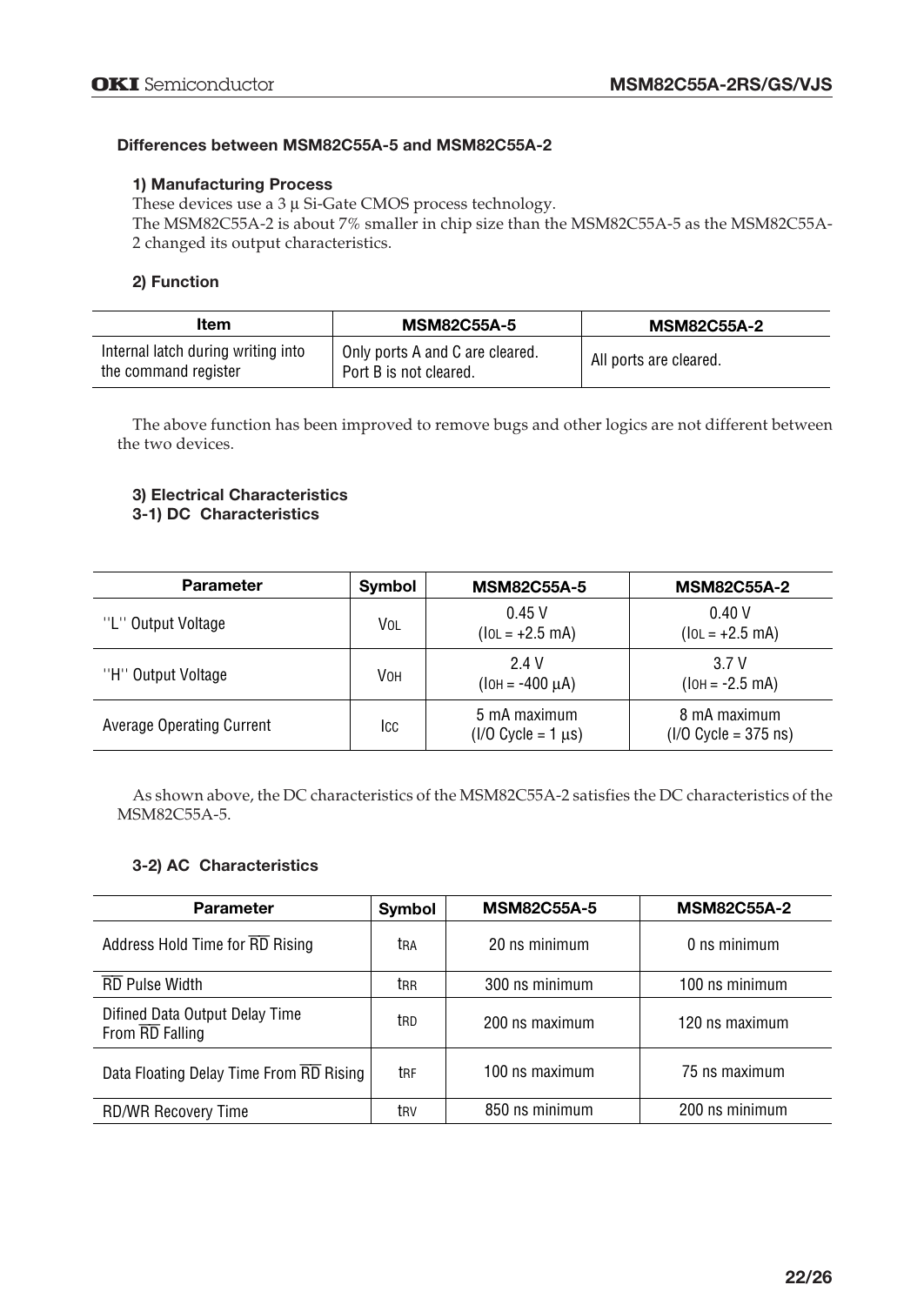#### **Differences between MSM82C55A-5 and MSM82C55A-2**

#### **1) Manufacturing Process**

These devices use a  $3 \mu$  Si-Gate CMOS process technology.

The MSM82C55A-2 is about 7% smaller in chip size than the MSM82C55A-5 as the MSM82C55A-2 changed its output characteristics.

#### **2) Function**

| Item                                                       | <b>MSM82C55A-5</b>                                        | <b>MSM82C55A-2</b>     |
|------------------------------------------------------------|-----------------------------------------------------------|------------------------|
| Internal latch during writing into<br>the command register | Only ports A and C are cleared.<br>Port B is not cleared. | All ports are cleared. |

The above function has been improved to remove bugs and other logics are not different between the two devices.

#### **3) Electrical Characteristics 3-1) DC Characteristics**

| <b>Parameter</b>                 | Symbol | <b>MSM82C55A-5</b>                        | <b>MSM82C55A-2</b>                     |
|----------------------------------|--------|-------------------------------------------|----------------------------------------|
| "L" Output Voltage               | VOL    | 0.45V<br>$(10L = +2.5 mA)$                | 0.40V<br>$(10L = +2.5 \text{ mA})$     |
| "H" Output Voltage               | Vон    | 2.4 V<br>$(IOH = -400 \mu A)$             | 3.7 V<br>$(IOH = -2.5 mA)$             |
| <b>Average Operating Current</b> | Icc    | 5 mA maximum<br>$(1/0$ Cycle = 1 $\mu$ s) | 8 mA maximum<br>$(I/O$ Cycle = 375 ns) |

As shown above, the DC characteristics of the MSM82C55A-2 satisfies the DC characteristics of the MSM82C55A-5.

#### **3-2) AC Characteristics**

| <b>Parameter</b>                                  | Symbol | <b>MSM82C55A-5</b> | <b>MSM82C55A-2</b> |
|---------------------------------------------------|--------|--------------------|--------------------|
| Address Hold Time for RD Rising                   | tra    | 20 ns minimum      | 0 ns minimum       |
| <b>RD Pulse Width</b>                             | trr    | 300 ns minimum     | 100 ns minimum     |
| Difined Data Output Delay Time<br>From RD Falling | trd    | 200 ns maximum     | 120 ns maximum     |
| Data Floating Delay Time From RD Rising           | trf    | 100 ns maximum     | 75 ns maximum      |
| <b>RD/WR Recovery Time</b>                        | trv    | 850 ns minimum     | 200 ns minimum     |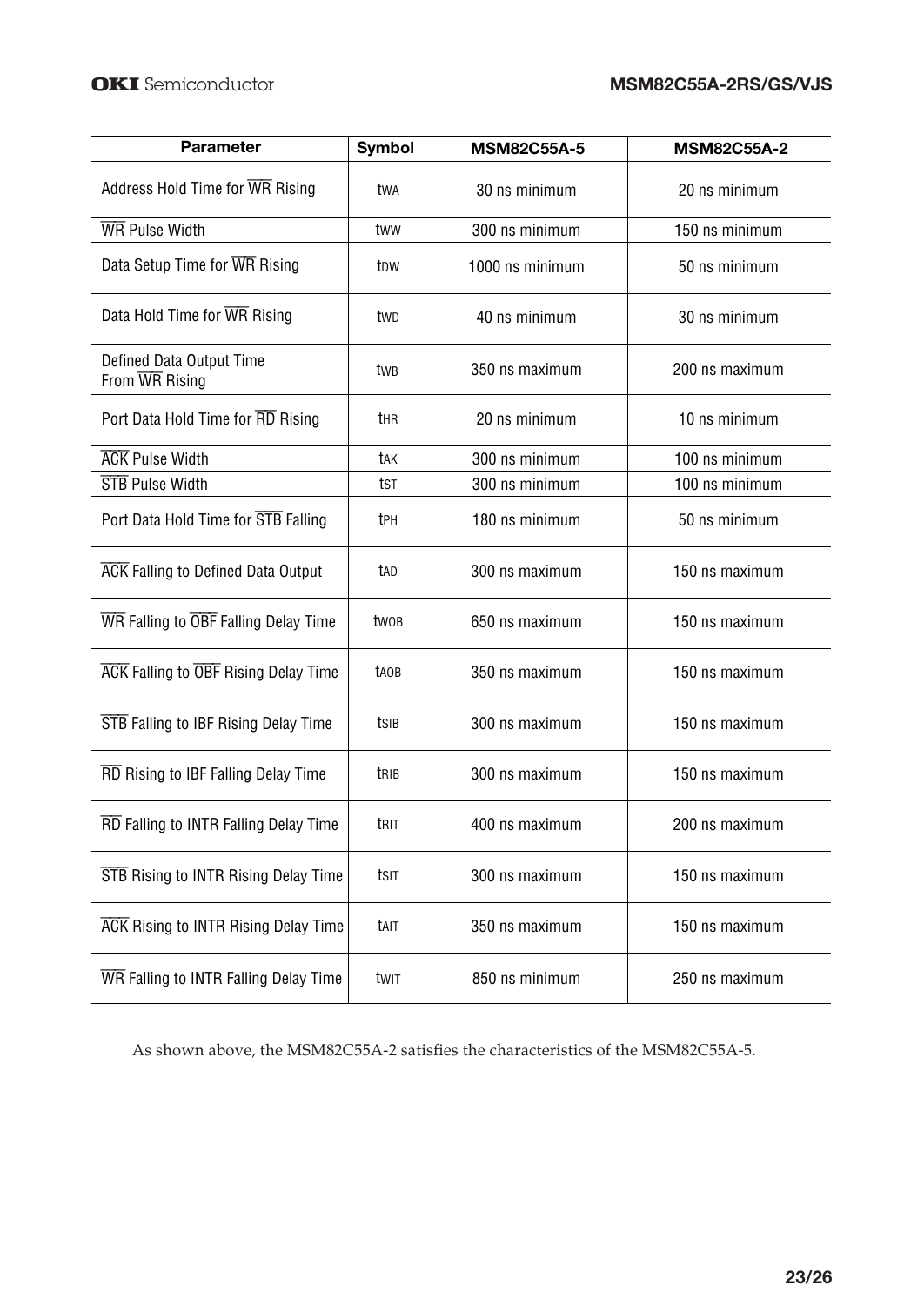| <b>Parameter</b>                            | <b>Symbol</b>    | <b>MSM82C55A-5</b> | <b>MSM82C55A-2</b> |
|---------------------------------------------|------------------|--------------------|--------------------|
| Address Hold Time for WR Rising             | twa              | 30 ns minimum      | 20 ns minimum      |
| <b>WR</b> Pulse Width                       | tww              | 300 ns minimum     | 150 ns minimum     |
| Data Setup Time for WR Rising               | t <sub>D</sub> w | 1000 ns minimum    | 50 ns minimum      |
| Data Hold Time for WR Rising                | twp              | 40 ns minimum      | 30 ns minimum      |
| Defined Data Output Time<br>From WR Rising  | twB              | 350 ns maximum     | 200 ns maximum     |
| Port Data Hold Time for RD Rising           | thr              | 20 ns minimum      | 10 ns minimum      |
| <b>ACK Pulse Width</b>                      | tak              | 300 ns minimum     | 100 ns minimum     |
| <b>STB</b> Pulse Width                      | tst              | 300 ns minimum     | 100 ns minimum     |
| Port Data Hold Time for STB Falling         | tph              | 180 ns minimum     | 50 ns minimum      |
| <b>ACK</b> Falling to Defined Data Output   | tad              | 300 ns maximum     | 150 ns maximum     |
| WR Falling to OBF Falling Delay Time        | two <sub>B</sub> | 650 ns maximum     | 150 ns maximum     |
| <b>ACK</b> Falling to OBF Rising Delay Time | taob             | 350 ns maximum     | 150 ns maximum     |
| <b>STB</b> Falling to IBF Rising Delay Time | tsib             | 300 ns maximum     | 150 ns maximum     |
| RD Rising to IBF Falling Delay Time         | trib             | 300 ns maximum     | 150 ns maximum     |
| RD Falling to INTR Falling Delay Time       | trit             | 400 ns maximum     | 200 ns maximum     |
| <b>STB</b> Rising to INTR Rising Delay Time | tsit             | 300 ns maximum     | 150 ns maximum     |
| <b>ACK</b> Rising to INTR Rising Delay Time | tait             | 350 ns maximum     | 150 ns maximum     |
| WR Falling to INTR Falling Delay Time       | twit             | 850 ns minimum     | 250 ns maximum     |

As shown above, the MSM82C55A-2 satisfies the characteristics of the MSM82C55A-5.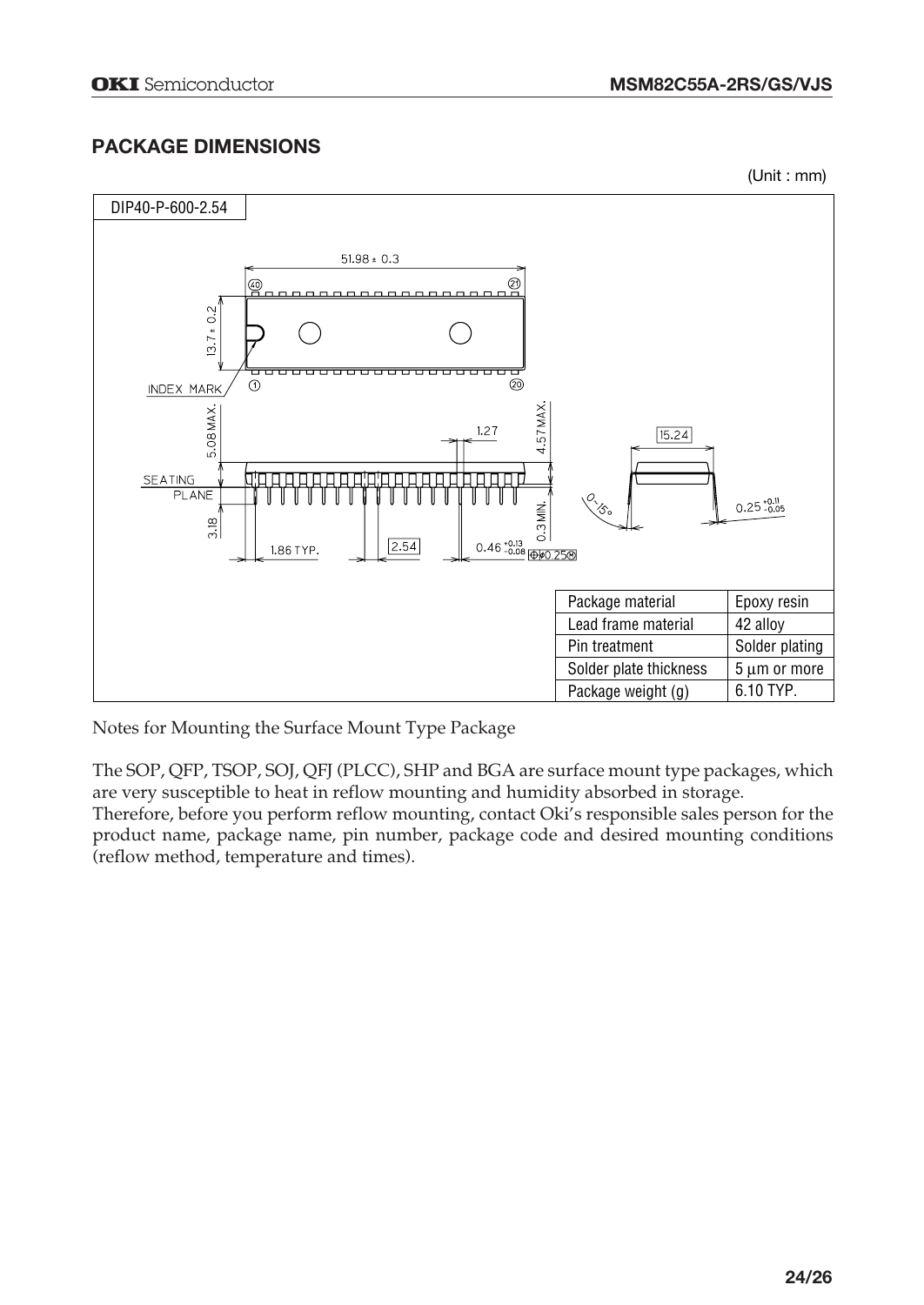# **PACKAGE DIMENSIONS**

(Unit : mm)



Notes for Mounting the Surface Mount Type Package

The SOP, QFP, TSOP, SOJ, QFJ (PLCC), SHP and BGA are surface mount type packages, which are very susceptible to heat in reflow mounting and humidity absorbed in storage.

Therefore, before you perform reflow mounting, contact Oki's responsible sales person for the product name, package name, pin number, package code and desired mounting conditions (reflow method, temperature and times).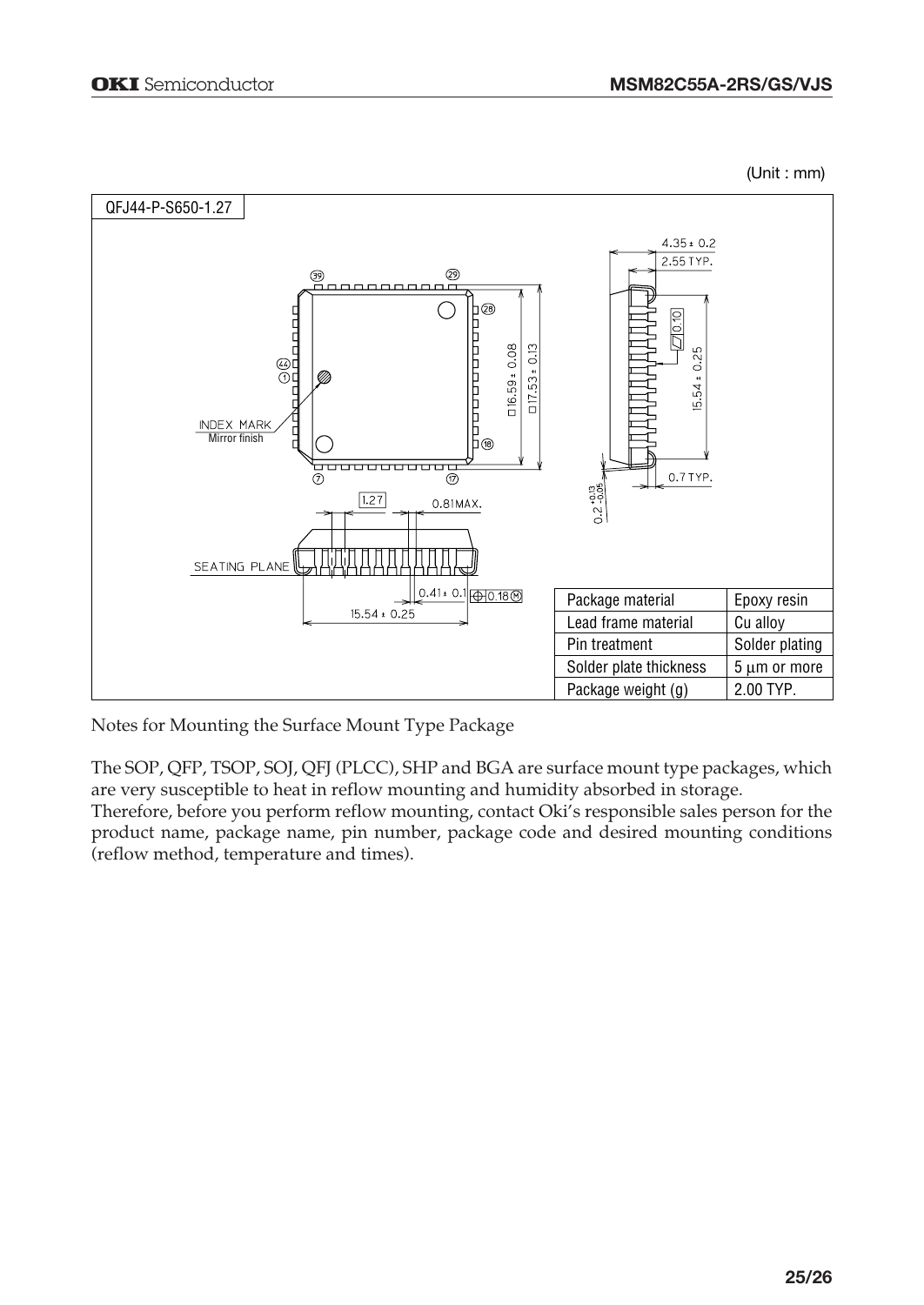(Unit : mm)



Notes for Mounting the Surface Mount Type Package

The SOP, QFP, TSOP, SOJ, QFJ (PLCC), SHP and BGA are surface mount type packages, which are very susceptible to heat in reflow mounting and humidity absorbed in storage.

Therefore, before you perform reflow mounting, contact Oki's responsible sales person for the product name, package name, pin number, package code and desired mounting conditions (reflow method, temperature and times).